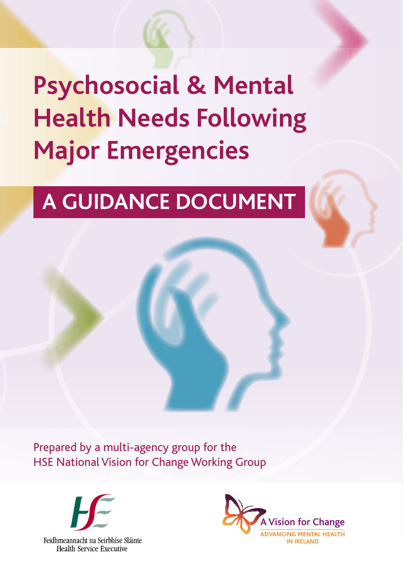# **Psychosocial & Mental Health Needs Following Major Emergencies**

# **A GUIDANCE DOCUMENT**

Prepared by a multi-agency group for the HSE National Vision for Change Working Group



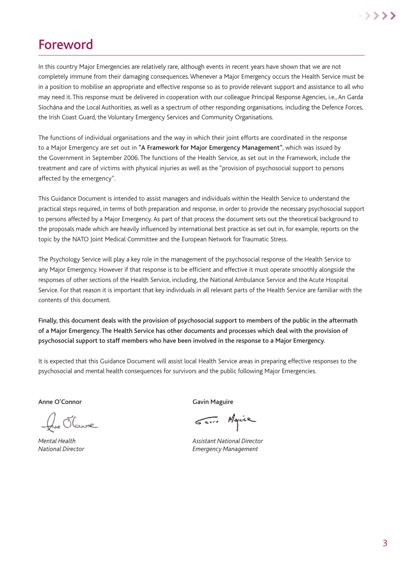### Foreword

In this country Major Emergencies are relatively rare, although events in recent years have shown that we are not completely immune from their damaging consequences. Whenever a Major Emergency occurs the Health Service must be in a position to mobilise an appropriate and effective response so as to provide relevant support and assistance to all who may need it. This response must be delivered in cooperation with our colleague Principal Response Agencies, i.e., An Garda Síochána and the Local Authorities, as well as a spectrum of other responding organisations, including the Defence Forces, the Irish Coast Guard, the Voluntary Emergency Services and Community Organisations.

The functions of individual organisations and the way in which their joint efforts are coordinated in the response to a Major Emergency are set out in "A Framework for Major Emergency Management", which was issued by the Government in September 2006. The functions of the Health Service, as set out in the Framework, include the treatment and care of victims with physical injuries as well as the "provision of psychosocial support to persons affected by the emergency".

This Guidance Document is intended to assist managers and individuals within the Health Service to understand the practical steps required, in terms of both preparation and response, in order to provide the necessary psychosocial support to persons affected by a Major Emergency. As part of that process the document sets out the theoretical background to the proposals made which are heavily influenced by international best practice as set out in, for example, reports on the topic by the NATO Joint Medical Committee and the European Network for Traumatic Stress.

The Psychology Service will play a key role in the management of the psychosocial response of the Health Service to any Major Emergency. However if that response is to be efficient and effective it must operate smoothly alongside the responses of other sections of the Health Service, including, the National Ambulance Service and the Acute Hospital Service. For that reason it is important that key individuals in all relevant parts of the Health Service are familiar with the contents of this document.

Finally, this document deals with the provision of psychosocial support to members of the public in the aftermath of a Major Emergency. The Health Service has other documents and processes which deal with the provision of psychosocial support to staff members who have been involved in the response to a Major Emergency.

It is expected that this Guidance Document will assist local Health Service areas in preparing effective responses to the psychosocial and mental health consequences for survivors and the public following Major Emergencies.

Anne O'Connor Cavin Maguire

**Our Obosse** 

Savis Marie

*Mental Health Assistant National Director National Director Emergency Management*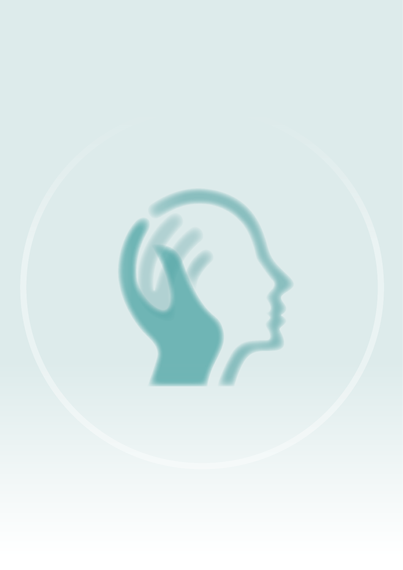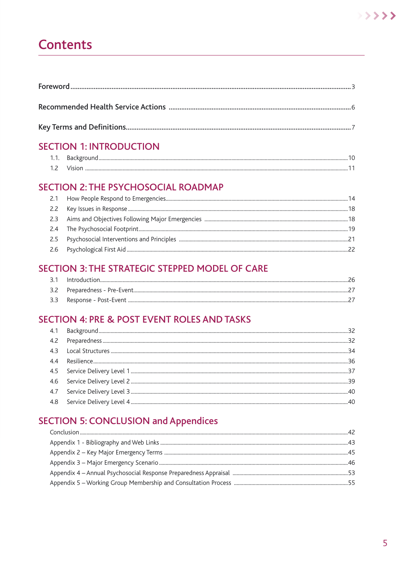### **Contents**

#### **SECTION 1: INTRODUCTION**

#### **SECTION 2: THE PSYCHOSOCIAL ROADMAP**

#### SECTION 3: THE STRATEGIC STEPPED MODEL OF CARE

| 3.1 | Introduction. |
|-----|---------------|
|     |               |
|     |               |

#### **SECTION 4: PRE & POST EVENT ROLES AND TASKS**

#### **SECTION 5: CONCLUSION and Appendices**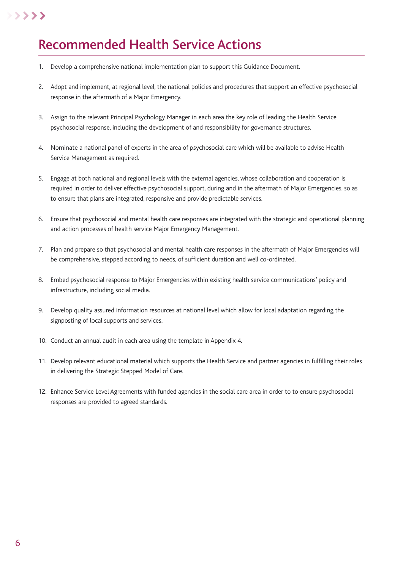### Recommended Health Service Actions

- 1. Develop a comprehensive national implementation plan to support this Guidance Document.
- 2. Adopt and implement, at regional level, the national policies and procedures that support an effective psychosocial response in the aftermath of a Major Emergency.
- 3. Assign to the relevant Principal Psychology Manager in each area the key role of leading the Health Service psychosocial response, including the development of and responsibility for governance structures.
- 4. Nominate a national panel of experts in the area of psychosocial care which will be available to advise Health Service Management as required.
- 5. Engage at both national and regional levels with the external agencies, whose collaboration and cooperation is required in order to deliver effective psychosocial support, during and in the aftermath of Major Emergencies, so as to ensure that plans are integrated, responsive and provide predictable services.
- 6. Ensure that psychosocial and mental health care responses are integrated with the strategic and operational planning and action processes of health service Major Emergency Management.
- 7. Plan and prepare so that psychosocial and mental health care responses in the aftermath of Major Emergencies will be comprehensive, stepped according to needs, of sufficient duration and well co-ordinated.
- 8. Embed psychosocial response to Major Emergencies within existing health service communications' policy and infrastructure, including social media.
- 9. Develop quality assured information resources at national level which allow for local adaptation regarding the signposting of local supports and services.
- 10. Conduct an annual audit in each area using the template in Appendix 4.
- 11. Develop relevant educational material which supports the Health Service and partner agencies in fulfilling their roles in delivering the Strategic Stepped Model of Care.
- 12. Enhance Service Level Agreements with funded agencies in the social care area in order to to ensure psychosocial responses are provided to agreed standards.

>>>>>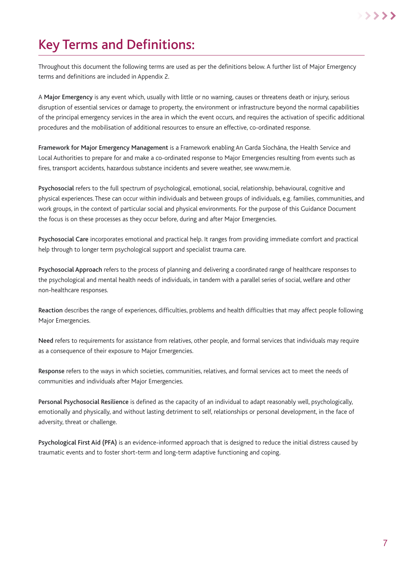# Key Terms and Definitions:

Throughout this document the following terms are used as per the definitions below. A further list of Major Emergency terms and definitions are included in Appendix 2.

A Major Emergency is any event which, usually with little or no warning, causes or threatens death or injury, serious disruption of essential services or damage to property, the environment or infrastructure beyond the normal capabilities of the principal emergency services in the area in which the event occurs, and requires the activation of specific additional procedures and the mobilisation of additional resources to ensure an effective, co-ordinated response.

Framework for Major Emergency Management is a Framework enabling An Garda Síochána, the Health Service and Local Authorities to prepare for and make a co-ordinated response to Major Emergencies resulting from events such as fires, transport accidents, hazardous substance incidents and severe weather, see www.mem.ie.

Psychosocial refers to the full spectrum of psychological, emotional, social, relationship, behavioural, cognitive and physical experiences. These can occur within individuals and between groups of individuals, e.g. families, communities, and work groups, in the context of particular social and physical environments. For the purpose of this Guidance Document the focus is on these processes as they occur before, during and after Major Emergencies.

Psychosocial Care incorporates emotional and practical help. It ranges from providing immediate comfort and practical help through to longer term psychological support and specialist trauma care.

Psychosocial Approach refers to the process of planning and delivering a coordinated range of healthcare responses to the psychological and mental health needs of individuals, in tandem with a parallel series of social, welfare and other non-healthcare responses.

Reaction describes the range of experiences, difficulties, problems and health difficulties that may affect people following Major Emergencies.

Need refers to requirements for assistance from relatives, other people, and formal services that individuals may require as a consequence of their exposure to Major Emergencies.

Response refers to the ways in which societies, communities, relatives, and formal services act to meet the needs of communities and individuals after Major Emergencies.

Personal Psychosocial Resilience is defined as the capacity of an individual to adapt reasonably well, psychologically, emotionally and physically, and without lasting detriment to self, relationships or personal development, in the face of adversity, threat or challenge.

Psychological First Aid (PFA) is an evidence-informed approach that is designed to reduce the initial distress caused by traumatic events and to foster short-term and long-term adaptive functioning and coping.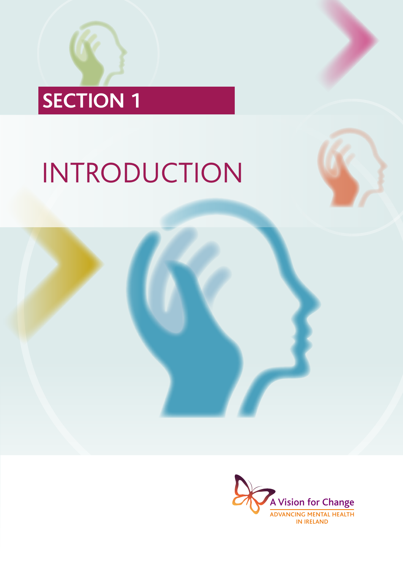# **SECTION 1**

# INTRODUCTION



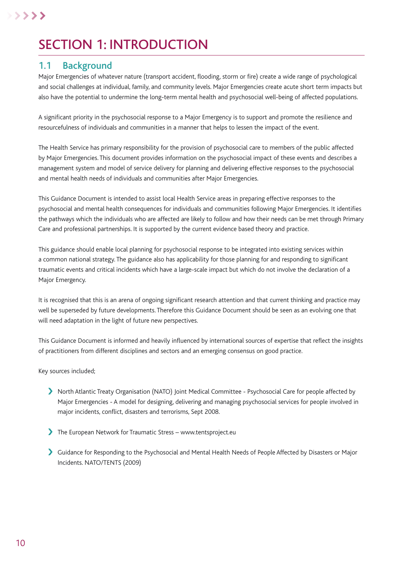## SECTION 1: INTRODUCTION

#### 1.1 Background

Major Emergencies of whatever nature (transport accident, flooding, storm or fire) create a wide range of psychological and social challenges at individual, family, and community levels. Major Emergencies create acute short term impacts but also have the potential to undermine the long-term mental health and psychosocial well-being of affected populations.

A significant priority in the psychosocial response to a Major Emergency is to support and promote the resilience and resourcefulness of individuals and communities in a manner that helps to lessen the impact of the event.

The Health Service has primary responsibility for the provision of psychosocial care to members of the public affected by Major Emergencies. This document provides information on the psychosocial impact of these events and describes a management system and model of service delivery for planning and delivering effective responses to the psychosocial and mental health needs of individuals and communities after Major Emergencies.

This Guidance Document is intended to assist local Health Service areas in preparing effective responses to the psychosocial and mental health consequences for individuals and communities following Major Emergencies. It identifies the pathways which the individuals who are affected are likely to follow and how their needs can be met through Primary Care and professional partnerships. It is supported by the current evidence based theory and practice.

This guidance should enable local planning for psychosocial response to be integrated into existing services within a common national strategy. The guidance also has applicability for those planning for and responding to significant traumatic events and critical incidents which have a large-scale impact but which do not involve the declaration of a Major Emergency.

It is recognised that this is an arena of ongoing significant research attention and that current thinking and practice may well be superseded by future developments. Therefore this Guidance Document should be seen as an evolving one that will need adaptation in the light of future new perspectives.

This Guidance Document is informed and heavily influenced by international sources of expertise that reflect the insights of practitioners from different disciplines and sectors and an emerging consensus on good practice.

#### Key sources included;

- › North Atlantic Treaty Organisation (NATO) Joint Medical Committee Psychosocial Care for people affected by Major Emergencies - A model for designing, delivering and managing psychosocial services for people involved in major incidents, conflict, disasters and terrorisms, Sept 2008.
- › The European Network for Traumatic Stress www.tentsproject.eu
- › Guidance for Responding to the Psychosocial and Mental Health Needs of People Affected by Disasters or Major Incidents. NATO/TENTS (2009)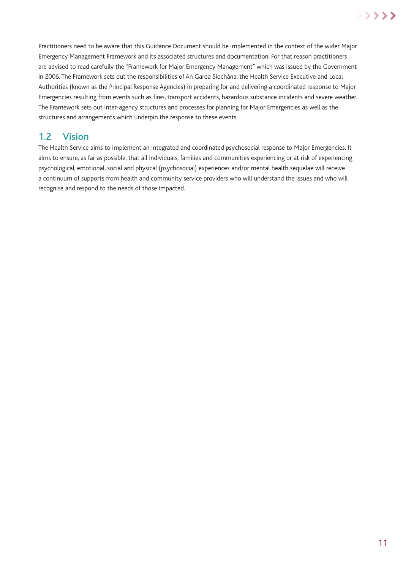Practitioners need to be aware that this Guidance Document should be implemented in the context of the wider Major Emergency Management Framework and its associated structures and documentation. For that reason practitioners are advised to read carefully the "Framework for Major Emergency Management" which was issued by the Government in 2006. The Framework sets out the responsibilities of An Garda Síochána, the Health Service Executive and Local Authorities (known as the Principal Response Agencies) in preparing for and delivering a coordinated response to Major Emergencies resulting from events such as fires, transport accidents, hazardous substance incidents and severe weather. The Framework sets out inter-agency structures and processes for planning for Major Emergencies as well as the structures and arrangements which underpin the response to these events.

#### 1.2 Vision

The Health Service aims to implement an integrated and coordinated psychosocial response to Major Emergencies. It aims to ensure, as far as possible, that all individuals, families and communities experiencing or at risk of experiencing psychological, emotional, social and physical (psychosocial) experiences and/or mental health sequelae will receive a continuum of supports from health and community service providers who will understand the issues and who will recognise and respond to the needs of those impacted.

>>>>>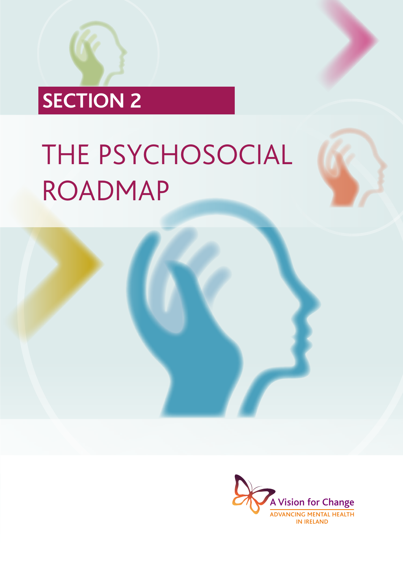# **SECTION 2**

# THE PSYCHOSOCIAL ROADMAP

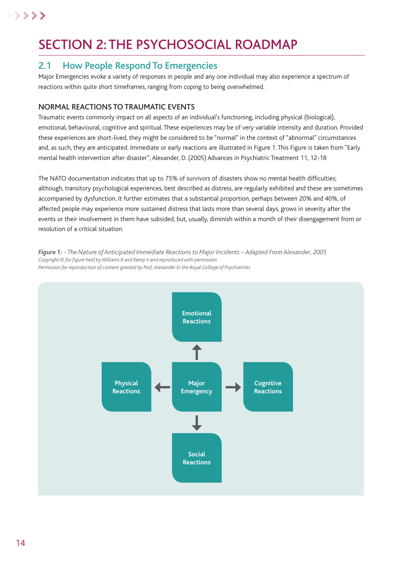## SECTION 2: THE PSYCHOSOCIAL ROADMAP

#### 2.1 How People Respond To Emergencies

Major Emergencies evoke a variety of responses in people and any one individual may also experience a spectrum of reactions within quite short timeframes, ranging from coping to being overwhelmed.

#### Normal Reactions to Traumatic Events

Traumatic events commonly impact on all aspects of an individual's functioning, including physical (biological), emotional, behavioural, cognitive and spiritual. These experiences may be of very variable intensity and duration. Provided these experiences are short-lived, they might be considered to be "normal" in the context of "abnormal" circumstances and, as such, they are anticipated. Immediate or early reactions are illustrated in Figure 1. This Figure is taken from "Early mental health intervention after disaster", Alexander, D. (2005) Advances in Psychiatric Treatment 11, 12-18

The NATO documentation indicates that up to 75% of survivors of disasters show no mental health difficulties; although, transitory psychological experiences, best described as distress, are regularly exhibited and these are sometimes accompanied by dysfunction. It further estimates that a substantial proportion, perhaps between 20% and 40%, of affected people may experience more sustained distress that lasts more than several days, grows in severity after the events or their involvement in them have subsided, but, usually, diminish within a month of their disengagement from or resolution of a critical situation.

*Figure 1: - The Nature of Anticipated Immediate Reactions to Major Incidents – Adapted From Alexander, 2005 Copyright © for figure held by Williams R and Kemp V and reproduced with permission Permission for reproduction of content granted by Prof. Alexander & the Royal College of Psychiatrists*

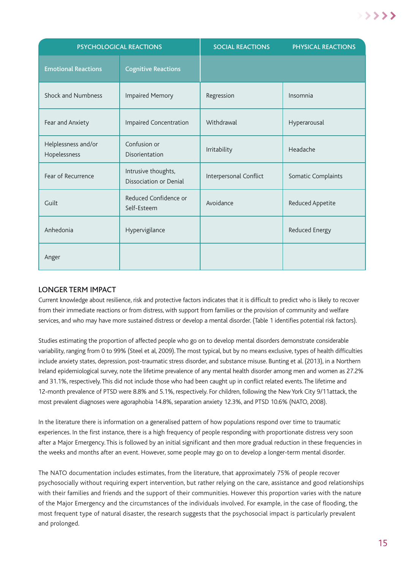| <b>PSYCHOLOGICAL REACTIONS</b>      |                                               | <b>SOCIAL REACTIONS</b> | <b>PHYSICAL REACTIONS</b> |
|-------------------------------------|-----------------------------------------------|-------------------------|---------------------------|
| <b>Emotional Reactions</b>          | <b>Cognitive Reactions</b>                    |                         |                           |
| <b>Shock and Numbness</b>           | <b>Impaired Memory</b>                        | Regression              | Insomnia                  |
| Fear and Anxiety                    | Impaired Concentration                        | Withdrawal              | Hyperarousal              |
| Helplessness and/or<br>Hopelessness | Confusion or<br>Disorientation                | Irritability            | Headache                  |
| Fear of Recurrence                  | Intrusive thoughts,<br>Dissociation or Denial | Interpersonal Conflict  | Somatic Complaints        |
| Guilt                               | Reduced Confidence or<br>Self-Esteem          | Avoidance               | Reduced Appetite          |
| Anhedonia                           | Hypervigilance                                |                         | Reduced Energy            |
| Anger                               |                                               |                         |                           |

#### Longer Term Impact

Current knowledge about resilience, risk and protective factors indicates that it is difficult to predict who is likely to recover from their immediate reactions or from distress, with support from families or the provision of community and welfare services, and who may have more sustained distress or develop a mental disorder. (Table 1 identifies potential risk factors).

Studies estimating the proportion of affected people who go on to develop mental disorders demonstrate considerable variability, ranging from 0 to 99% (Steel et al, 2009). The most typical, but by no means exclusive, types of health difficulties include anxiety states, depression, post-traumatic stress disorder, and substance misuse. Bunting et al. (2013), in a Northern Ireland epidemiological survey, note the lifetime prevalence of any mental health disorder among men and women as 27.2% and 31.1%, respectively. This did not include those who had been caught up in conflict related events. The lifetime and 12-month prevalence of PTSD were 8.8% and 5.1%, respectively. For children, following the New York City 9/11attack, the most prevalent diagnoses were agoraphobia 14.8%, separation anxiety 12.3%, and PTSD 10.6% (NATO, 2008).

In the literature there is information on a generalised pattern of how populations respond over time to traumatic experiences. In the first instance, there is a high frequency of people responding with proportionate distress very soon after a Major Emergency. This is followed by an initial significant and then more gradual reduction in these frequencies in the weeks and months after an event. However, some people may go on to develop a longer-term mental disorder.

The NATO documentation includes estimates, from the literature, that approximately 75% of people recover psychosocially without requiring expert intervention, but rather relying on the care, assistance and good relationships with their families and friends and the support of their communities. However this proportion varies with the nature of the Major Emergency and the circumstances of the individuals involved. For example, in the case of flooding, the most frequent type of natural disaster, the research suggests that the psychosocial impact is particularly prevalent and prolonged.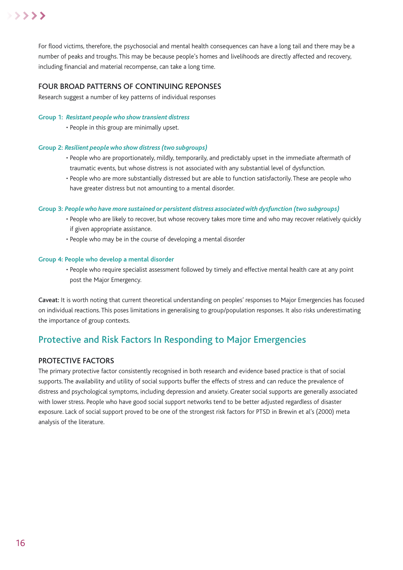

For flood victims, therefore, the psychosocial and mental health consequences can have a long tail and there may be a number of peaks and troughs. This may be because people's homes and livelihoods are directly affected and recovery, including financial and material recompense, can take a long time.

#### Four Broad Patterns of Continuing Reponses

Research suggest a number of key patterns of individual responses

#### **Group 1:** *Resistant people who show transient distress*

 • People in this group are minimally upset.

#### **Group 2:** *Resilient people who show distress (two subgroups)*

- People who are proportionately, mildly, temporarily, and predictably upset in the immediate aftermath of traumatic events, but whose distress is not associated with any substantial level of dysfunction.
- People who are more substantially distressed but are able to function satisfactorily. These are people who have greater distress but not amounting to a mental disorder.

#### **Group 3:** *People who have more sustained or persistent distress associated with dysfunction (two subgroups)*

- People who are likely to recover, but whose recovery takes more time and who may recover relatively quickly if given appropriate assistance.
- People who may be in the course of developing a mental disorder

#### **Group 4: People who develop a mental disorder**

 • People who require specialist assessment followed by timely and effective mental health care at any point post the Major Emergency.

Caveat: It is worth noting that current theoretical understanding on peoples' responses to Major Emergencies has focused on individual reactions. This poses limitations in generalising to group/population responses. It also risks underestimating the importance of group contexts.

#### Protective and Risk Factors In Responding to Major Emergencies

#### PROTECTIVE FACTORS

The primary protective factor consistently recognised in both research and evidence based practice is that of social supports. The availability and utility of social supports buffer the effects of stress and can reduce the prevalence of distress and psychological symptoms, including depression and anxiety. Greater social supports are generally associated with lower stress. People who have good social support networks tend to be better adjusted regardless of disaster exposure. Lack of social support proved to be one of the strongest risk factors for PTSD in Brewin et al's (2000) meta analysis of the literature.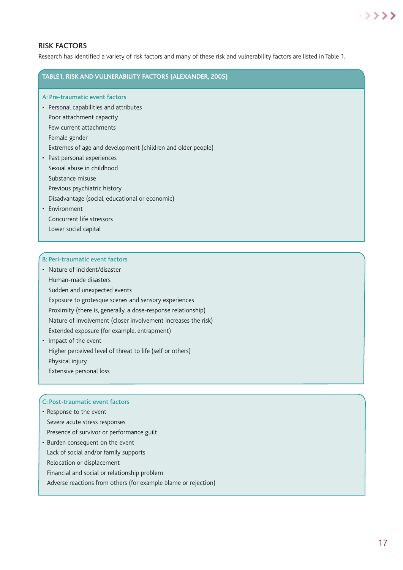#### Risk Factors

Research has identified a variety of risk factors and many of these risk and vulnerability factors are listed in Table 1.

#### **Table1. Risk and Vulnerability Factors (Alexander, 2005)**

#### A: Pre-traumatic event factors

- • Personal capabilities and attributes Poor attachment capacity Few current attachments Female gender Extremes of age and development (children and older people) • Past personal experiences
- Sexual abuse in childhood Substance misuse Previous psychiatric history Disadvantage (social, educational or economic) • Environment
- Concurrent life stressors Lower social capital

#### B: Peri-traumatic event factors

• Nature of incident/disaster Human-made disasters Sudden and unexpected events Exposure to grotesque scenes and sensory experiences Proximity (there is, generally, a dose-response relationship) Nature of involvement (closer involvement increases the risk) Extended exposure (for example, entrapment) • Impact of the event Higher perceived level of threat to life (self or others) Physical injury Extensive personal loss

#### C: Post-traumatic event factors

• Response to the event Severe acute stress responses Presence of survivor or performance guilt • Burden consequent on the event Lack of social and/or family supports Relocation or displacement Financial and social or relationship problem Adverse reactions from others (for example blame or rejection)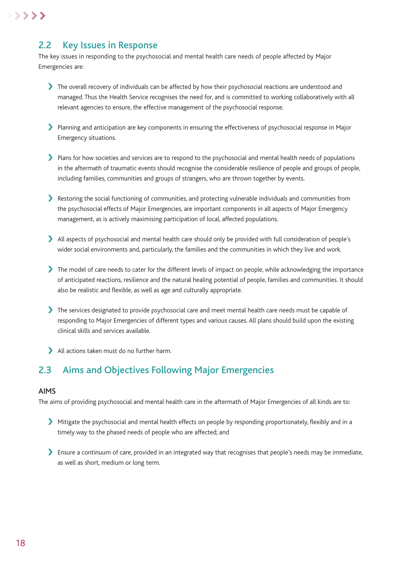#### 2.2 Key Issues in Response

The key issues in responding to the psychosocial and mental health care needs of people affected by Major Emergencies are:

- › The overall recovery of individuals can be affected by how their psychosocial reactions are understood and managed. Thus the Health Service recognises the need for, and is committed to working collaboratively with all relevant agencies to ensure, the effective management of the psychosocial response.
- › Planning and anticipation are key components in ensuring the effectiveness of psychosocial response in Major Emergency situations.
- › Plans for how societies and services are to respond to the psychosocial and mental health needs of populations in the aftermath of traumatic events should recognise the considerable resilience of people and groups of people, including families, communities and groups of strangers, who are thrown together by events.
- › Restoring the social functioning of communities, and protecting vulnerable individuals and communities from the psychosocial effects of Major Emergencies, are important components in all aspects of Major Emergency management, as is actively maximising participation of local, affected populations.
- › All aspects of psychosocial and mental health care should only be provided with full consideration of people's wider social environments and, particularly, the families and the communities in which they live and work.
- › The model of care needs to cater for the different levels of impact on people, while acknowledging the importance of anticipated reactions, resilience and the natural healing potential of people, families and communities. It should also be realistic and flexible, as well as age and culturally appropriate.
- > The services designated to provide psychosocial care and meet mental health care needs must be capable of responding to Major Emergencies of different types and various causes. All plans should build upon the existing clinical skills and services available.
- > All actions taken must do no further harm.

#### 2.3 Aims and Objectives Following Major Emergencies

#### Aims

The aims of providing psychosocial and mental health care in the aftermath of Major Emergencies of all kinds are to:

- › Mitigate the psychosocial and mental health effects on people by responding proportionately, flexibly and in a timely way to the phased needs of people who are affected; and
- › Ensure a continuum of care, provided in an integrated way that recognises that people's needs may be immediate, as well as short, medium or long term.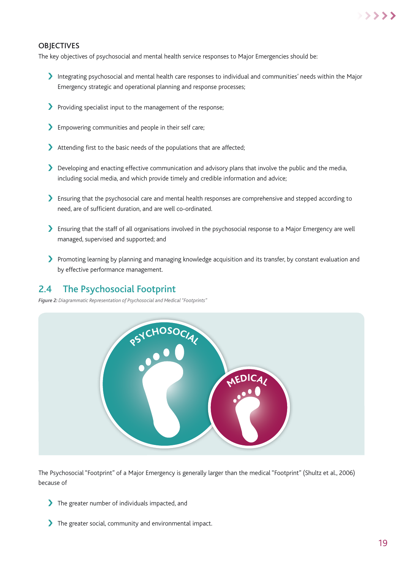

#### **OBJECTIVES**

The key objectives of psychosocial and mental health service responses to Major Emergencies should be:

- › Integrating psychosocial and mental health care responses to individual and communities' needs within the Major Emergency strategic and operational planning and response processes;
- › Providing specialist input to the management of the response;
- › Empowering communities and people in their self care;
- › Attending first to the basic needs of the populations that are affected;
- › Developing and enacting effective communication and advisory plans that involve the public and the media, including social media, and which provide timely and credible information and advice;
- › Ensuring that the psychosocial care and mental health responses are comprehensive and stepped according to need, are of sufficient duration, and are well co-ordinated.
- › Ensuring that the staff of all organisations involved in the psychosocial response to a Major Emergency are well managed, supervised and supported; and
- › Promoting learning by planning and managing knowledge acquisition and its transfer, by constant evaluation and by effective performance management.

#### 2.4 The Psychosocial Footprint

*Figure 2: Diagrammatic Representation of Psychosocial and Medical "Footprints"*



The Psychosocial "Footprint" of a Major Emergency is generally larger than the medical "Footprint" (Shultz et al., 2006) because of

- › The greater number of individuals impacted, and
- › The greater social, community and environmental impact.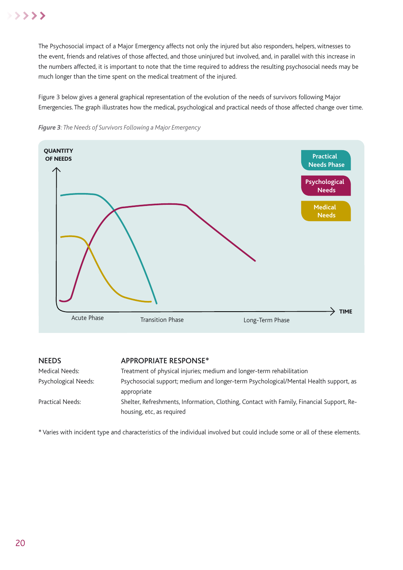The Psychosocial impact of a Major Emergency affects not only the injured but also responders, helpers, witnesses to the event, friends and relatives of those affected, and those uninjured but involved, and, in parallel with this increase in the numbers affected, it is important to note that the time required to address the resulting psychosocial needs may be much longer than the time spent on the medical treatment of the injured.

Figure 3 below gives a general graphical representation of the evolution of the needs of survivors following Major Emergencies. The graph illustrates how the medical, psychological and practical needs of those affected change over time.





| <b>NEEDS</b>         | <b>APPROPRIATE RESPONSE*</b>                                                                        |
|----------------------|-----------------------------------------------------------------------------------------------------|
| Medical Needs:       | Treatment of physical injuries; medium and longer-term rehabilitation                               |
| Psychological Needs: | Psychosocial support; medium and longer-term Psychological/Mental Health support, as<br>appropriate |
| Practical Needs:     | Shelter, Refreshments, Information, Clothing, Contact with Family, Financial Support, Re-           |
|                      | housing, etc, as required                                                                           |

\* Varies with incident type and characteristics of the individual involved but could include some or all of these elements.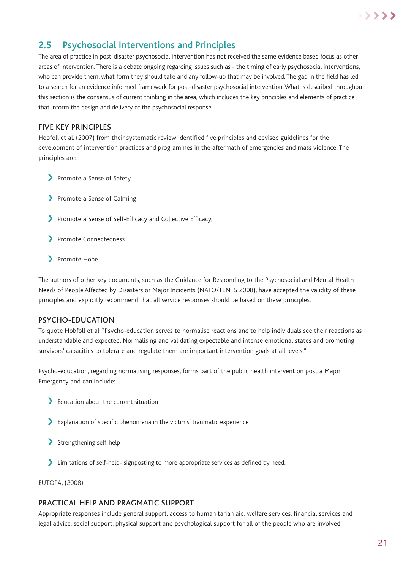#### 2.5 Psychosocial Interventions and Principles

The area of practice in post-disaster psychosocial intervention has not received the same evidence based focus as other areas of intervention. There is a debate ongoing regarding issues such as - the timing of early psychosocial interventions, who can provide them, what form they should take and any follow-up that may be involved. The gap in the field has led to a search for an evidence informed framework for post-disaster psychosocial intervention. What is described throughout this section is the consensus of current thinking in the area, which includes the key principles and elements of practice that inform the design and delivery of the psychosocial response.

#### Five Key Principles

Hobfoll et al. (2007) from their systematic review identified five principles and devised guidelines for the development of intervention practices and programmes in the aftermath of emergencies and mass violence. The principles are:

- › Promote a Sense of Safety,
- › Promote a Sense of Calming,
- › Promote a Sense of Self-Efficacy and Collective Efficacy,
- › Promote Connectedness
- > Promote Hope.

The authors of other key documents, such as the Guidance for Responding to the Psychosocial and Mental Health Needs of People Affected by Disasters or Major Incidents (NATO/TENTS 2008), have accepted the validity of these principles and explicitly recommend that all service responses should be based on these principles.

#### Psycho-Education

To quote Hobfoll et al, "Psycho-education serves to normalise reactions and to help individuals see their reactions as understandable and expected. Normalising and validating expectable and intense emotional states and promoting survivors' capacities to tolerate and regulate them are important intervention goals at all levels."

Psycho-education, regarding normalising responses, forms part of the public health intervention post a Major Emergency and can include:

- › Education about the current situation
- › Explanation of specific phenomena in the victims' traumatic experience
- > Strengthening self-help
- › Limitations of self-help- signposting to more appropriate services as defined by need.

EUTOPA, (2008)

#### Practical Help and Pragmatic Support

Appropriate responses include general support, access to humanitarian aid, welfare services, financial services and legal advice, social support, physical support and psychological support for all of the people who are involved.

>>>>>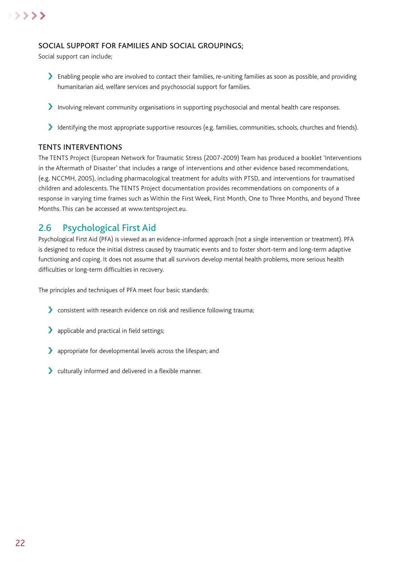#### Social Support for Families and Social Groupings;

Social support can include;

- › Enabling people who are involved to contact their families, re-uniting families as soon as possible, and providing humanitarian aid, welfare services and psychosocial support for families.
- › Involving relevant community organisations in supporting psychosocial and mental health care responses.
- › Identifying the most appropriate supportive resources (e.g. families, communities, schools, churches and friends).

#### TENTS Interventions

The TENTS Project (European Network for Traumatic Stress (2007-2009) Team has produced a booklet 'Interventions in the Aftermath of Disaster' that includes a range of interventions and other evidence based recommendations, (e.g. NCCMH, 2005), including pharmacological treatment for adults with PTSD, and interventions for traumatised children and adolescents. The TENTS Project documentation provides recommendations on components of a response in varying time frames such as Within the First Week, First Month, One to Three Months, and beyond Three Months. This can be accessed at www.tentsproject.eu.

#### 2.6 Psychological First Aid

Psychological First Aid (PFA) is viewed as an evidence-informed approach (not a single intervention or treatment). PFA is designed to reduce the initial distress caused by traumatic events and to foster short-term and long-term adaptive functioning and coping. It does not assume that all survivors develop mental health problems, more serious health difficulties or long-term difficulties in recovery.

The principles and techniques of PFA meet four basic standards:

- › consistent with research evidence on risk and resilience following trauma;
- › applicable and practical in field settings;
- › appropriate for developmental levels across the lifespan; and
- › culturally informed and delivered in a flexible manner.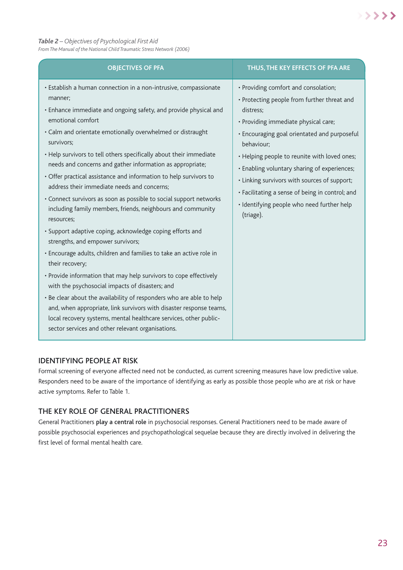#### *Table 2 – Objectives of Psychological First Aid*

*From The Manual of the National Child Traumatic Stress Network (2006)*

| <b>OBJECTIVES OF PFA</b>                                                                                                                                                                                                                                                                                                                                                                                                                                                                                                                                                                                                                                                                                                                                                                                                                                                                                                                                                                                                                                                                                                                                                                           | THUS, THE KEY EFFECTS OF PFA ARE                                                                                                                                                                                                                                                                                                                                                                                                                                     |
|----------------------------------------------------------------------------------------------------------------------------------------------------------------------------------------------------------------------------------------------------------------------------------------------------------------------------------------------------------------------------------------------------------------------------------------------------------------------------------------------------------------------------------------------------------------------------------------------------------------------------------------------------------------------------------------------------------------------------------------------------------------------------------------------------------------------------------------------------------------------------------------------------------------------------------------------------------------------------------------------------------------------------------------------------------------------------------------------------------------------------------------------------------------------------------------------------|----------------------------------------------------------------------------------------------------------------------------------------------------------------------------------------------------------------------------------------------------------------------------------------------------------------------------------------------------------------------------------------------------------------------------------------------------------------------|
| · Establish a human connection in a non-intrusive, compassionate<br>manner;<br>• Enhance immediate and ongoing safety, and provide physical and<br>emotional comfort<br>• Calm and orientate emotionally overwhelmed or distraught<br>survivors;<br>• Help survivors to tell others specifically about their immediate<br>needs and concerns and gather information as appropriate;<br>• Offer practical assistance and information to help survivors to<br>address their immediate needs and concerns;<br>• Connect survivors as soon as possible to social support networks<br>including family members, friends, neighbours and community<br>resources;<br>· Support adaptive coping, acknowledge coping efforts and<br>strengths, and empower survivors;<br>· Encourage adults, children and families to take an active role in<br>their recovery;<br>• Provide information that may help survivors to cope effectively<br>with the psychosocial impacts of disasters; and<br>. Be clear about the availability of responders who are able to help<br>and, when appropriate, link survivors with disaster response teams,<br>local recovery systems, mental healthcare services, other public- | • Providing comfort and consolation;<br>• Protecting people from further threat and<br>distress;<br>· Providing immediate physical care;<br>· Encouraging goal orientated and purposeful<br>behaviour;<br>• Helping people to reunite with loved ones;<br>· Enabling voluntary sharing of experiences;<br>• Linking survivors with sources of support;<br>• Facilitating a sense of being in control; and<br>· Identifying people who need further help<br>(triage). |
| sector services and other relevant organisations.                                                                                                                                                                                                                                                                                                                                                                                                                                                                                                                                                                                                                                                                                                                                                                                                                                                                                                                                                                                                                                                                                                                                                  |                                                                                                                                                                                                                                                                                                                                                                                                                                                                      |

#### Identifying People at Risk

Formal screening of everyone affected need not be conducted, as current screening measures have low predictive value. Responders need to be aware of the importance of identifying as early as possible those people who are at risk or have active symptoms. Refer to Table 1.

#### The Key Role of General Practitioners

General Practitioners play a central role in psychosocial responses. General Practitioners need to be made aware of possible psychosocial experiences and psychopathological sequelae because they are directly involved in delivering the first level of formal mental health care.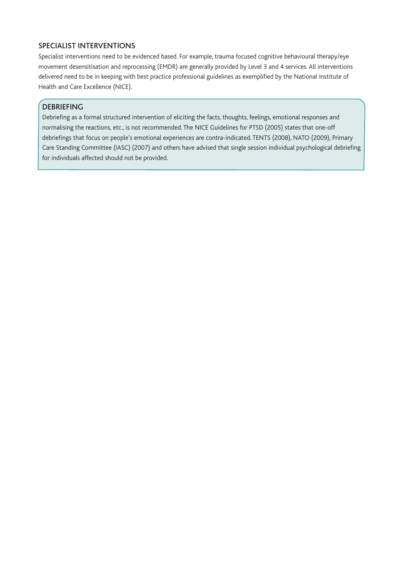#### Specialist Interventions

Specialist interventions need to be evidenced based. For example, trauma focused cognitive behavioural therapy/eye movement desensitisation and reprocessing (EMDR) are generally provided by Level 3 and 4 services. All interventions delivered need to be in keeping with best practice professional guidelines as exemplified by the National Institute of Health and Care Excellence (NICE).

#### **DEBRIEFING**

Debriefing as a formal structured intervention of eliciting the facts, thoughts, feelings, emotional responses and normalising the reactions, etc., is not recommended. The NICE Guidelines for PTSD (2005) states that one-off debriefings that focus on people's emotional experiences are contra-indicated. TENTS (2008), NATO (2009), Primary Care Standing Committee (IASC) (2007) and others have advised that single session individual psychological debriefing for individuals affected should not be provided.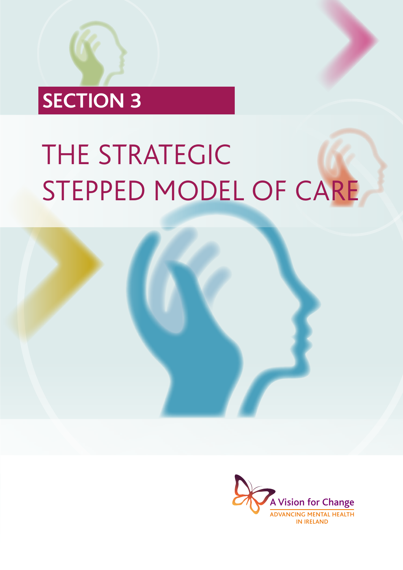# **SECTION 3**

# THE STRATEGIC Stepped Model Of Care



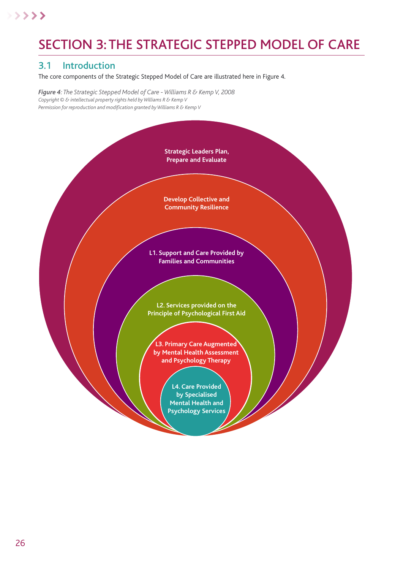### SECTION 3: THE STRATEGIC STEPPED MODEL OF CARE

#### 3.1 Introduction

The core components of the Strategic Stepped Model of Care are illustrated here in Figure 4.

*Figure 4: The Strategic Stepped Model of Care - Williams R & Kemp V, 2008 Copyright © & intellectual property rights held by Williams R & Kemp V Permission for reproduction and modification granted by Williams R & Kemp V*

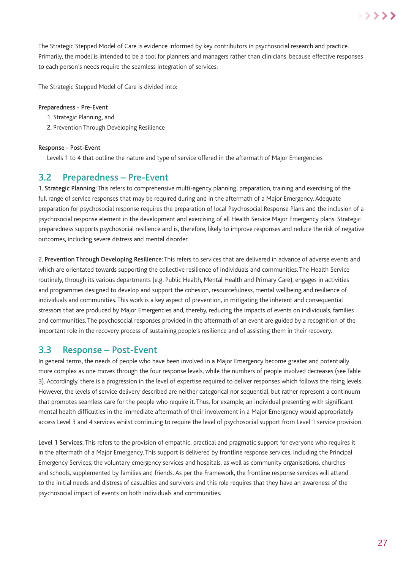The Strategic Stepped Model of Care is evidence informed by key contributors in psychosocial research and practice. Primarily, the model is intended to be a tool for planners and managers rather than clinicians, because effective responses to each person's needs require the seamless integration of services.

The Strategic Stepped Model of Care is divided into:

#### Preparedness - Pre-Event

- 1. Strategic Planning, and
- 2. Prevention Through Developing Resilience

#### Response - Post-Event

Levels 1 to 4 that outline the nature and type of service offered in the aftermath of Major Emergencies

#### 3.2 Preparedness – Pre-Event

1. Strategic Planning: This refers to comprehensive multi-agency planning, preparation, training and exercising of the full range of service responses that may be required during and in the aftermath of a Major Emergency. Adequate preparation for psychosocial response requires the preparation of local Psychosocial Response Plans and the inclusion of a psychosocial response element in the development and exercising of all Health Service Major Emergency plans. Strategic preparedness supports psychosocial resilience and is, therefore, likely to improve responses and reduce the risk of negative outcomes, including severe distress and mental disorder.

2. Prevention Through Developing Resilience: This refers to services that are delivered in advance of adverse events and which are orientated towards supporting the collective resilience of individuals and communities. The Health Service routinely, through its various departments (e.g. Public Health, Mental Health and Primary Care), engages in activities and programmes designed to develop and support the cohesion, resourcefulness, mental wellbeing and resilience of individuals and communities. This work is a key aspect of prevention, in mitigating the inherent and consequential stressors that are produced by Major Emergencies and, thereby, reducing the impacts of events on individuals, families and communities. The psychosocial responses provided in the aftermath of an event are guided by a recognition of the important role in the recovery process of sustaining people's resilience and of assisting them in their recovery.

#### 3.3 Response – Post-Event

In general terms, the needs of people who have been involved in a Major Emergency become greater and potentially more complex as one moves through the four response levels, while the numbers of people involved decreases (see Table 3). Accordingly, there is a progression in the level of expertise required to deliver responses which follows the rising levels. However, the levels of service delivery described are neither categorical nor sequential, but rather represent a continuum that promotes seamless care for the people who require it. Thus, for example, an individual presenting with significant mental health difficulties in the immediate aftermath of their involvement in a Major Emergency would appropriately access Level 3 and 4 services whilst continuing to require the level of psychosocial support from Level 1 service provision.

Level 1 Services: This refers to the provision of empathic, practical and pragmatic support for everyone who requires it in the aftermath of a Major Emergency. This support is delivered by frontline response services, including the Principal Emergency Services, the voluntary emergency services and hospitals, as well as community organisations, churches and schools, supplemented by families and friends. As per the Framework, the frontline response services will attend to the initial needs and distress of casualties and survivors and this role requires that they have an awareness of the psychosocial impact of events on both individuals and communities.

 $>>>>>$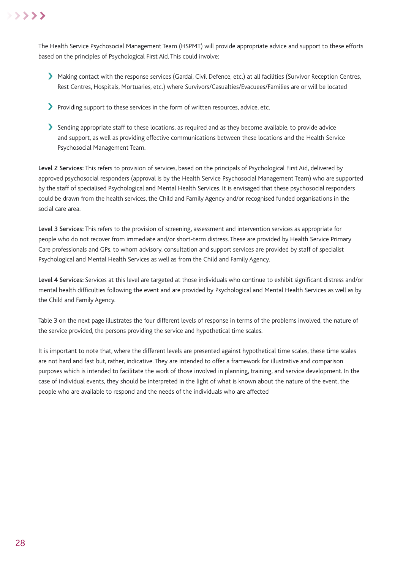The Health Service Psychosocial Management Team (HSPMT) will provide appropriate advice and support to these efforts based on the principles of Psychological First Aid. This could involve:

- › Making contact with the response services (Gardai, Civil Defence, etc.) at all facilities (Survivor Reception Centres, Rest Centres, Hospitals, Mortuaries, etc.) where Survivors/Casualties/Evacuees/Families are or will be located
- › Providing support to these services in the form of written resources, advice, etc.
- › Sending appropriate staff to these locations, as required and as they become available, to provide advice and support, as well as providing effective communications between these locations and the Health Service Psychosocial Management Team.

Level 2 Services: This refers to provision of services, based on the principals of Psychological First Aid, delivered by approved psychosocial responders (approval is by the Health Service Psychosocial Management Team) who are supported by the staff of specialised Psychological and Mental Health Services. It is envisaged that these psychosocial responders could be drawn from the health services, the Child and Family Agency and/or recognised funded organisations in the social care area.

Level 3 Services: This refers to the provision of screening, assessment and intervention services as appropriate for people who do not recover from immediate and/or short-term distress. These are provided by Health Service Primary Care professionals and GPs, to whom advisory, consultation and support services are provided by staff of specialist Psychological and Mental Health Services as well as from the Child and Family Agency.

Level 4 Services: Services at this level are targeted at those individuals who continue to exhibit significant distress and/or mental health difficulties following the event and are provided by Psychological and Mental Health Services as well as by the Child and Family Agency.

Table 3 on the next page illustrates the four different levels of response in terms of the problems involved, the nature of the service provided, the persons providing the service and hypothetical time scales.

It is important to note that, where the different levels are presented against hypothetical time scales, these time scales are not hard and fast but, rather, indicative. They are intended to offer a framework for illustrative and comparison purposes which is intended to facilitate the work of those involved in planning, training, and service development. In the case of individual events, they should be interpreted in the light of what is known about the nature of the event, the people who are available to respond and the needs of the individuals who are affected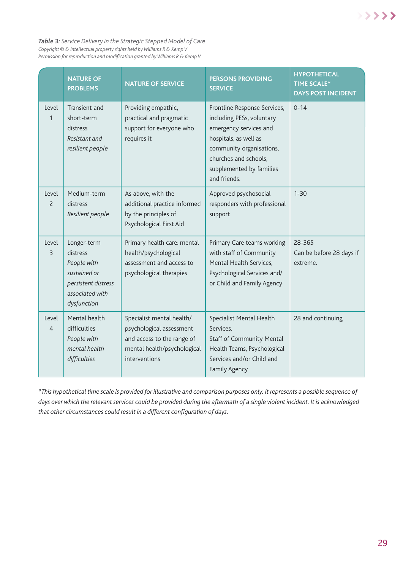*Table 3: Service Delivery in the Strategic Stepped Model of Care Copyright © & intellectual property rights held by Williams R & Kemp V Permission for reproduction and modification granted by Williams R & Kemp V*

|                                   | <b>NATURE OF</b><br><b>PROBLEMS</b>                                                                             | <b>NATURE OF SERVICE</b>                                                                                                            | <b>PERSONS PROVIDING</b><br><b>SERVICE</b>                                                                                                                                                                    | <b>HYPOTHETICAL</b><br><b>TIME SCALE*</b><br><b>DAYS POST INCIDENT</b> |
|-----------------------------------|-----------------------------------------------------------------------------------------------------------------|-------------------------------------------------------------------------------------------------------------------------------------|---------------------------------------------------------------------------------------------------------------------------------------------------------------------------------------------------------------|------------------------------------------------------------------------|
| Level<br>1                        | Transient and<br>short-term<br>distress<br>Resistant and<br>resilient people                                    | Providing empathic,<br>practical and pragmatic<br>support for everyone who<br>requires it                                           | Frontline Response Services,<br>including PESs, voluntary<br>emergency services and<br>hospitals, as well as<br>community organisations,<br>churches and schools,<br>supplemented by families<br>and friends. | $0 - 14$                                                               |
| Level<br>$\overline{\phantom{0}}$ | Medium-term<br>distress<br>Resilient people                                                                     | As above, with the<br>additional practice informed<br>by the principles of<br>Psychological First Aid                               | Approved psychosocial<br>responders with professional<br>support                                                                                                                                              | $1 - 30$                                                               |
| Level<br>3                        | Longer-term<br>distress<br>People with<br>sustained or<br>persistent distress<br>associated with<br>dysfunction | Primary health care: mental<br>health/psychological<br>assessment and access to<br>psychological therapies                          | Primary Care teams working<br>with staff of Community<br>Mental Health Services,<br>Psychological Services and/<br>or Child and Family Agency                                                                 | 28-365<br>Can be before 28 days if<br>extreme.                         |
| Level<br>$\overline{4}$           | Mental health<br>difficulties<br>People with<br>mental health<br>difficulties                                   | Specialist mental health/<br>psychological assessment<br>and access to the range of<br>mental health/psychological<br>interventions | Specialist Mental Health<br>Services.<br><b>Staff of Community Mental</b><br>Health Teams, Psychological<br>Services and/or Child and<br>Family Agency                                                        | 28 and continuing                                                      |

*\*This hypothetical time scale is provided for illustrative and comparison purposes only. It represents a possible sequence of days over which the relevant services could be provided during the aftermath of a single violent incident. It is acknowledged that other circumstances could result in a different configuration of days.* 

>>>>>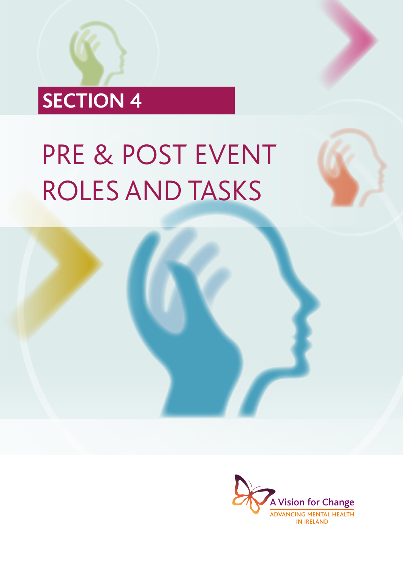# **SECTION 4**

# PRE & POST EVENT ROLES AND TASKS

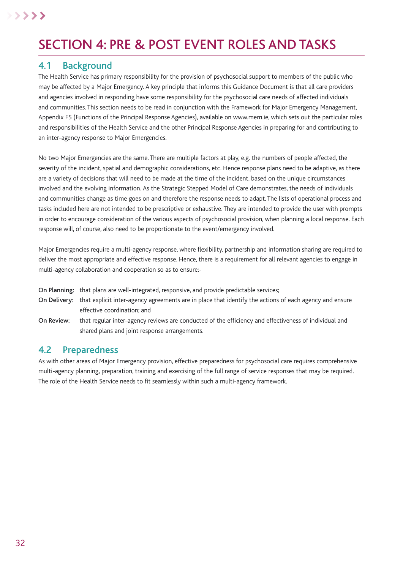### SECTION 4: PRE & POST EVENT ROLES AND TASKS

#### 4.1 Background

The Health Service has primary responsibility for the provision of psychosocial support to members of the public who may be affected by a Major Emergency. A key principle that informs this Guidance Document is that all care providers and agencies involved in responding have some responsibility for the psychosocial care needs of affected individuals and communities. This section needs to be read in conjunction with the Framework for Major Emergency Management, Appendix F5 (Functions of the Principal Response Agencies), available on www.mem.ie, which sets out the particular roles and responsibilities of the Health Service and the other Principal Response Agencies in preparing for and contributing to an inter-agency response to Major Emergencies.

No two Major Emergencies are the same. There are multiple factors at play, e.g. the numbers of people affected, the severity of the incident, spatial and demographic considerations, etc. Hence response plans need to be adaptive, as there are a variety of decisions that will need to be made at the time of the incident, based on the unique circumstances involved and the evolving information. As the Strategic Stepped Model of Care demonstrates, the needs of individuals and communities change as time goes on and therefore the response needs to adapt. The lists of operational process and tasks included here are not intended to be prescriptive or exhaustive. They are intended to provide the user with prompts in order to encourage consideration of the various aspects of psychosocial provision, when planning a local response. Each response will, of course, also need to be proportionate to the event/emergency involved.

Major Emergencies require a multi-agency response, where flexibility, partnership and information sharing are required to deliver the most appropriate and effective response. Hence, there is a requirement for all relevant agencies to engage in multi-agency collaboration and cooperation so as to ensure:-

- On Planning: that plans are well-integrated, responsive, and provide predictable services;
- On Delivery: that explicit inter-agency agreements are in place that identify the actions of each agency and ensure effective coordination; and
- On Review: that regular inter-agency reviews are conducted of the efficiency and effectiveness of individual and shared plans and joint response arrangements.

#### 4.2 Preparedness

As with other areas of Major Emergency provision, effective preparedness for psychosocial care requires comprehensive multi-agency planning, preparation, training and exercising of the full range of service responses that may be required. The role of the Health Service needs to fit seamlessly within such a multi-agency framework.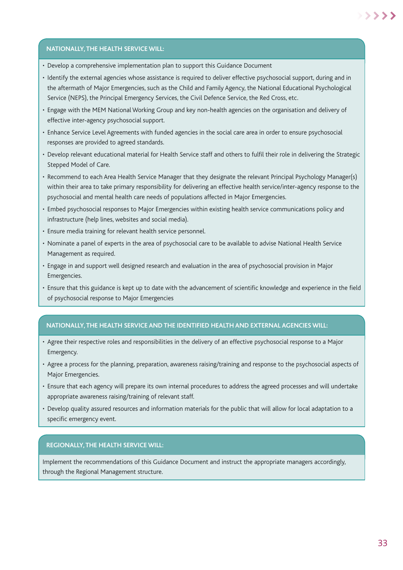#### >>>>>

#### **Nationally, the Health Service will:**

- Develop a comprehensive implementation plan to support this Guidance Document
- • Identify the external agencies whose assistance is required to deliver effective psychosocial support, during and in the aftermath of Major Emergencies, such as the Child and Family Agency, the National Educational Psychological Service (NEPS), the Principal Emergency Services, the Civil Defence Service, the Red Cross, etc.
- • Engage with the MEM National Working Group and key non-health agencies on the organisation and delivery of effective inter-agency psychosocial support.
- Enhance Service Level Agreements with funded agencies in the social care area in order to ensure psychosocial responses are provided to agreed standards.
- Develop relevant educational material for Health Service staff and others to fulfil their role in delivering the Strategic Stepped Model of Care.
- • Recommend to each Area Health Service Manager that they designate the relevant Principal Psychology Manager(s) within their area to take primary responsibility for delivering an effective health service/inter-agency response to the psychosocial and mental health care needs of populations affected in Major Emergencies.
- • Embed psychosocial responses to Major Emergencies within existing health service communications policy and infrastructure (help lines, websites and social media).
- Ensure media training for relevant health service personnel.
- • Nominate a panel of experts in the area of psychosocial care to be available to advise National Health Service Management as required.
- Engage in and support well designed research and evaluation in the area of psychosocial provision in Major Emergencies.
- Ensure that this guidance is kept up to date with the advancement of scientific knowledge and experience in the field of psychosocial response to Major Emergencies

#### **Nationally, the Health Service and the Identified Health and External Agencies will:**

- • Agree their respective roles and responsibilities in the delivery of an effective psychosocial response to a Major Emergency.
- • Agree a process for the planning, preparation, awareness raising/training and response to the psychosocial aspects of Major Emergencies.
- • Ensure that each agency will prepare its own internal procedures to address the agreed processes and will undertake appropriate awareness raising/training of relevant staff.
- • Develop quality assured resources and information materials for the public that will allow for local adaptation to a specific emergency event.

#### **Regionally, the Health Service will:**

Implement the recommendations of this Guidance Document and instruct the appropriate managers accordingly, through the Regional Management structure.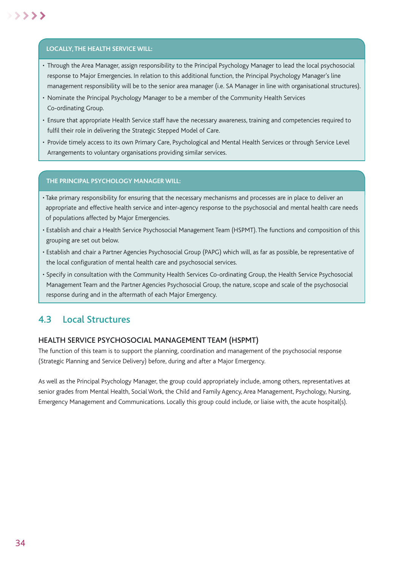#### **Locally, the Health Service will:**

- Through the Area Manager, assign responsibility to the Principal Psychology Manager to lead the local psychosocial response to Major Emergencies. In relation to this additional function, the Principal Psychology Manager's line management responsibility will be to the senior area manager (i.e. SA Manager in line with organisational structures).
- • Nominate the Principal Psychology Manager to be a member of the Community Health Services Co-ordinating Group.
- Ensure that appropriate Health Service staff have the necessary awareness, training and competencies required to fulfil their role in delivering the Strategic Stepped Model of Care.
- • Provide timely access to its own Primary Care, Psychological and Mental Health Services or through Service Level Arrangements to voluntary organisations providing similar services.

#### **The Principal Psychology Manager will:**

- Take primary responsibility for ensuring that the necessary mechanisms and processes are in place to deliver an appropriate and effective health service and inter-agency response to the psychosocial and mental health care needs of populations affected by Major Emergencies.
- Establish and chair a Health Service Psychosocial Management Team (HSPMT). The functions and composition of this grouping are set out below.
- Establish and chair a Partner Agencies Psychosocial Group (PAPG) which will, as far as possible, be representative of the local configuration of mental health care and psychosocial services.
- Specify in consultation with the Community Health Services Co-ordinating Group, the Health Service Psychosocial Management Team and the Partner Agencies Psychosocial Group, the nature, scope and scale of the psychosocial response during and in the aftermath of each Major Emergency.

#### 4.3 Local Structures

#### Health Service Psychosocial Management Team (HSPMT)

The function of this team is to support the planning, coordination and management of the psychosocial response (Strategic Planning and Service Delivery) before, during and after a Major Emergency.

As well as the Principal Psychology Manager, the group could appropriately include, among others, representatives at senior grades from Mental Health, Social Work, the Child and Family Agency, Area Management, Psychology, Nursing, Emergency Management and Communications. Locally this group could include, or liaise with, the acute hospital(s).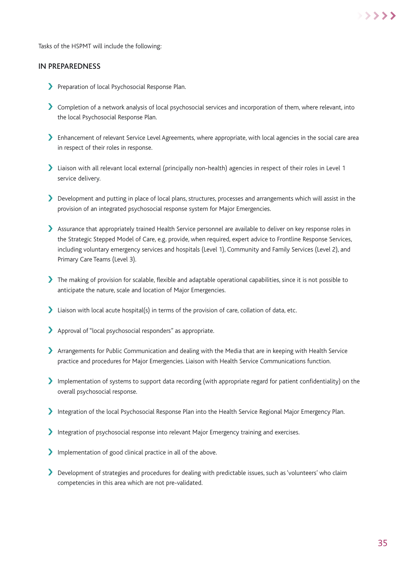Tasks of the HSPMT will include the following:

#### In Preparedness

- › Preparation of local Psychosocial Response Plan.
- › Completion of a network analysis of local psychosocial services and incorporation of them, where relevant, into the local Psychosocial Response Plan.
- › Enhancement of relevant Service Level Agreements, where appropriate, with local agencies in the social care area in respect of their roles in response.
- › Liaison with all relevant local external (principally non-health) agencies in respect of their roles in Level 1 service delivery.
- › Development and putting in place of local plans, structures, processes and arrangements which will assist in the provision of an integrated psychosocial response system for Major Emergencies.
- Assurance that appropriately trained Health Service personnel are available to deliver on key response roles in the Strategic Stepped Model of Care, e.g. provide, when required, expert advice to Frontline Response Services, including voluntary emergency services and hospitals (Level 1), Community and Family Services (Level 2), and Primary Care Teams (Level 3).
- › The making of provision for scalable, flexible and adaptable operational capabilities, since it is not possible to anticipate the nature, scale and location of Major Emergencies.
- $\blacktriangleright$  Liaison with local acute hospital(s) in terms of the provision of care, collation of data, etc.
- › Approval of "local psychosocial responders" as appropriate.
- › Arrangements for Public Communication and dealing with the Media that are in keeping with Health Service practice and procedures for Major Emergencies. Liaison with Health Service Communications function.
- › Implementation of systems to support data recording (with appropriate regard for patient confidentiality) on the overall psychosocial response.
- › Integration of the local Psychosocial Response Plan into the Health Service Regional Major Emergency Plan.
- Integration of psychosocial response into relevant Major Emergency training and exercises.
- › Implementation of good clinical practice in all of the above.
- › Development of strategies and procedures for dealing with predictable issues, such as 'volunteers' who claim competencies in this area which are not pre-validated.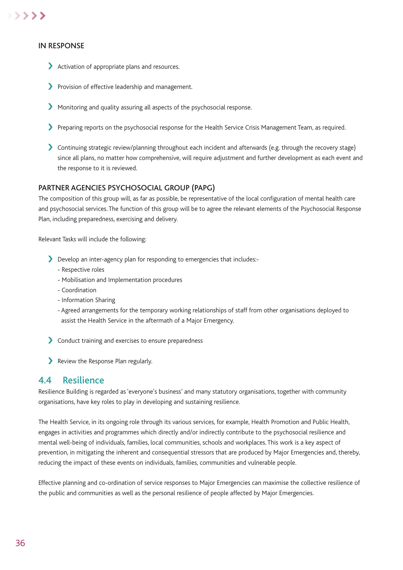#### In Response

- › Activation of appropriate plans and resources.
- > Provision of effective leadership and management.
- › Monitoring and quality assuring all aspects of the psychosocial response.
- › Preparing reports on the psychosocial response for the Health Service Crisis Management Team, as required.
- › Continuing strategic review/planning throughout each incident and afterwards (e.g. through the recovery stage) since all plans, no matter how comprehensive, will require adjustment and further development as each event and the response to it is reviewed.

#### Partner Agencies Psychosocial Group (PAPG)

The composition of this group will, as far as possible, be representative of the local configuration of mental health care and psychosocial services. The function of this group will be to agree the relevant elements of the Psychosocial Response Plan, including preparedness, exercising and delivery.

Relevant Tasks will include the following:

- › Develop an inter-agency plan for responding to emergencies that includes:-
	- Respective roles
	- Mobilisation and Implementation procedures
	- Coordination
	- Information Sharing
	- Agreed arrangements for the temporary working relationships of staff from other organisations deployed to assist the Health Service in the aftermath of a Major Emergency.
- › Conduct training and exercises to ensure preparedness
- › Review the Response Plan regularly.

#### 4.4 Resilience

Resilience Building is regarded as 'everyone's business' and many statutory organisations, together with community organisations, have key roles to play in developing and sustaining resilience.

The Health Service, in its ongoing role through its various services, for example, Health Promotion and Public Health, engages in activities and programmes which directly and/or indirectly contribute to the psychosocial resilience and mental well-being of individuals, families, local communities, schools and workplaces. This work is a key aspect of prevention, in mitigating the inherent and consequential stressors that are produced by Major Emergencies and, thereby, reducing the impact of these events on individuals, families, communities and vulnerable people.

Effective planning and co-ordination of service responses to Major Emergencies can maximise the collective resilience of the public and communities as well as the personal resilience of people affected by Major Emergencies.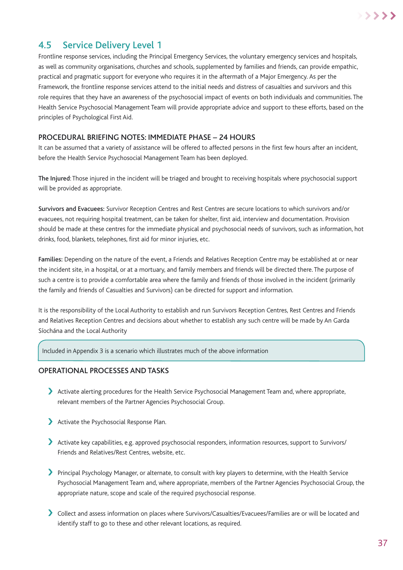#### >>>>>

#### 4.5 Service Delivery Level 1

Frontline response services, including the Principal Emergency Services, the voluntary emergency services and hospitals, as well as community organisations, churches and schools, supplemented by families and friends, can provide empathic, practical and pragmatic support for everyone who requires it in the aftermath of a Major Emergency. As per the Framework, the frontline response services attend to the initial needs and distress of casualties and survivors and this role requires that they have an awareness of the psychosocial impact of events on both individuals and communities. The Health Service Psychosocial Management Team will provide appropriate advice and support to these efforts, based on the principles of Psychological First Aid.

#### Procedural Briefing Notes: Immediate Phase – 24 hours

It can be assumed that a variety of assistance will be offered to affected persons in the first few hours after an incident, before the Health Service Psychosocial Management Team has been deployed.

The Injured: Those injured in the incident will be triaged and brought to receiving hospitals where psychosocial support will be provided as appropriate.

Survivors and Evacuees: Survivor Reception Centres and Rest Centres are secure locations to which survivors and/or evacuees, not requiring hospital treatment, can be taken for shelter, first aid, interview and documentation. Provision should be made at these centres for the immediate physical and psychosocial needs of survivors, such as information, hot drinks, food, blankets, telephones, first aid for minor injuries, etc.

Families: Depending on the nature of the event, a Friends and Relatives Reception Centre may be established at or near the incident site, in a hospital, or at a mortuary, and family members and friends will be directed there. The purpose of such a centre is to provide a comfortable area where the family and friends of those involved in the incident (primarily the family and friends of Casualties and Survivors) can be directed for support and information.

It is the responsibility of the Local Authority to establish and run Survivors Reception Centres, Rest Centres and Friends and Relatives Reception Centres and decisions about whether to establish any such centre will be made by An Garda Síochána and the Local Authority

Included in Appendix 3 is a scenario which illustrates much of the above information

#### Operational Processes and Tasks

- › Activate alerting procedures for the Health Service Psychosocial Management Team and, where appropriate, relevant members of the Partner Agencies Psychosocial Group.
- > Activate the Psychosocial Response Plan.
- › Activate key capabilities, e.g. approved psychosocial responders, information resources, support to Survivors/ Friends and Relatives/Rest Centres, website, etc.
- › Principal Psychology Manager, or alternate, to consult with key players to determine, with the Health Service Psychosocial Management Team and, where appropriate, members of the Partner Agencies Psychosocial Group, the appropriate nature, scope and scale of the required psychosocial response.
- › Collect and assess information on places where Survivors/Casualties/Evacuees/Families are or will be located and identify staff to go to these and other relevant locations, as required.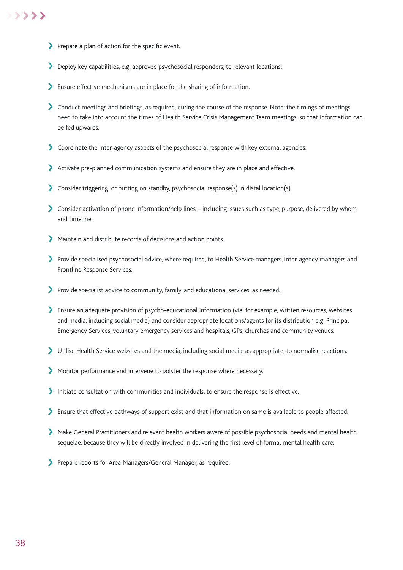- > Prepare a plan of action for the specific event.
- › Deploy key capabilities, e.g. approved psychosocial responders, to relevant locations.
- › Ensure effective mechanisms are in place for the sharing of information.
- › Conduct meetings and briefings, as required, during the course of the response. Note: the timings of meetings need to take into account the times of Health Service Crisis Management Team meetings, so that information can be fed upwards.
- › Coordinate the inter-agency aspects of the psychosocial response with key external agencies.
- › Activate pre-planned communication systems and ensure they are in place and effective.
- › Consider triggering, or putting on standby, psychosocial response(s) in distal location(s).
- › Consider activation of phone information/help lines including issues such as type, purpose, delivered by whom and timeline.
- › Maintain and distribute records of decisions and action points.
- › Provide specialised psychosocial advice, where required, to Health Service managers, inter-agency managers and Frontline Response Services.
- › Provide specialist advice to community, family, and educational services, as needed.
- › Ensure an adequate provision of psycho-educational information (via, for example, written resources, websites and media, including social media) and consider appropriate locations/agents for its distribution e.g. Principal Emergency Services, voluntary emergency services and hospitals, GPs, churches and community venues.
- › Utilise Health Service websites and the media, including social media, as appropriate, to normalise reactions.
- › Monitor performance and intervene to bolster the response where necessary.
- › Initiate consultation with communities and individuals, to ensure the response is effective.
- › Ensure that effective pathways of support exist and that information on same is available to people affected.
- › Make General Practitioners and relevant health workers aware of possible psychosocial needs and mental health sequelae, because they will be directly involved in delivering the first level of formal mental health care.
- › Prepare reports for Area Managers/General Manager, as required.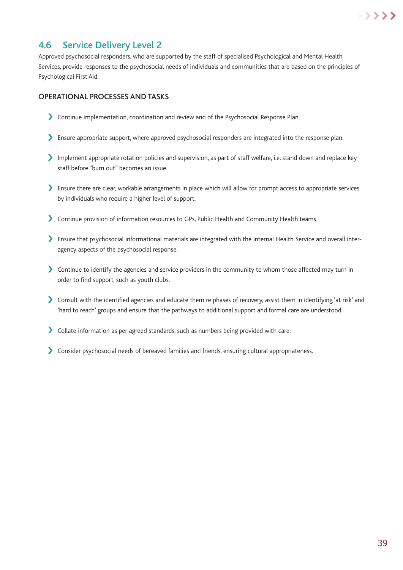#### 4.6 Service Delivery Level 2

Approved psychosocial responders, who are supported by the staff of specialised Psychological and Mental Health Services, provide responses to the psychosocial needs of individuals and communities that are based on the principles of Psychological First Aid.

#### Operational Processes and Tasks

- › Continue implementation, coordination and review and of the Psychosocial Response Plan.
- › Ensure appropriate support, where approved psychosocial responders are integrated into the response plan.
- › Implement appropriate rotation policies and supervision, as part of staff welfare, i.e. stand down and replace key staff before "burn out" becomes an issue.
- › Ensure there are clear, workable arrangements in place which will allow for prompt access to appropriate services by individuals who require a higher level of support.
- › Continue provision of information resources to GPs, Public Health and Community Health teams.
- › Ensure that psychosocial informational materials are integrated with the internal Health Service and overall interagency aspects of the psychosocial response.
- › Continue to identify the agencies and service providers in the community to whom those affected may turn in order to find support, such as youth clubs.
- › Consult with the identified agencies and educate them re phases of recovery, assist them in identifying 'at risk' and 'hard to reach' groups and ensure that the pathways to additional support and formal care are understood.
- › Collate information as per agreed standards, such as numbers being provided with care.
- › Consider psychosocial needs of bereaved families and friends, ensuring cultural appropriateness.

 $>>>>>$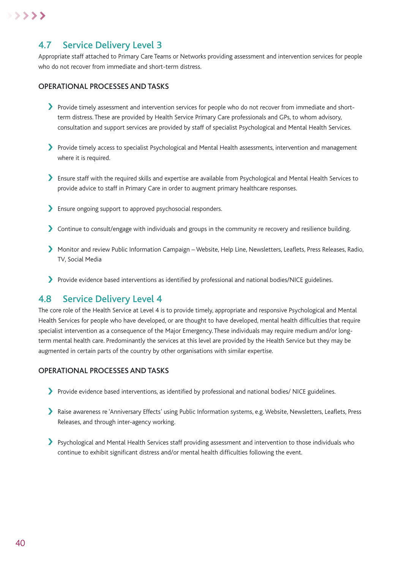#### 4.7 Service Delivery Level 3

Appropriate staff attached to Primary Care Teams or Networks providing assessment and intervention services for people who do not recover from immediate and short-term distress.

#### Operational Processes and Tasks

- › Provide timely assessment and intervention services for people who do not recover from immediate and shortterm distress. These are provided by Health Service Primary Care professionals and GPs, to whom advisory, consultation and support services are provided by staff of specialist Psychological and Mental Health Services.
- › Provide timely access to specialist Psychological and Mental Health assessments, intervention and management where it is required.
- › Ensure staff with the required skills and expertise are available from Psychological and Mental Health Services to provide advice to staff in Primary Care in order to augment primary healthcare responses.
- > Ensure ongoing support to approved psychosocial responders.
- › Continue to consult/engage with individuals and groups in the community re recovery and resilience building.
- › Monitor and review Public Information Campaign Website, Help Line, Newsletters, Leaflets, Press Releases, Radio, TV, Social Media
- › Provide evidence based interventions as identified by professional and national bodies/NICE guidelines.

#### 4.8 Service Delivery Level 4

The core role of the Health Service at Level 4 is to provide timely, appropriate and responsive Psychological and Mental Health Services for people who have developed, or are thought to have developed, mental health difficulties that require specialist intervention as a consequence of the Major Emergency. These individuals may require medium and/or longterm mental health care. Predominantly the services at this level are provided by the Health Service but they may be augmented in certain parts of the country by other organisations with similar expertise.

#### Operational Processes and Tasks

- › Provide evidence based interventions, as identified by professional and national bodies/ NICE guidelines.
- › Raise awareness re 'Anniversary Effects' using Public Information systems, e.g. Website, Newsletters, Leaflets, Press Releases, and through inter-agency working.
- › Psychological and Mental Health Services staff providing assessment and intervention to those individuals who continue to exhibit significant distress and/or mental health difficulties following the event.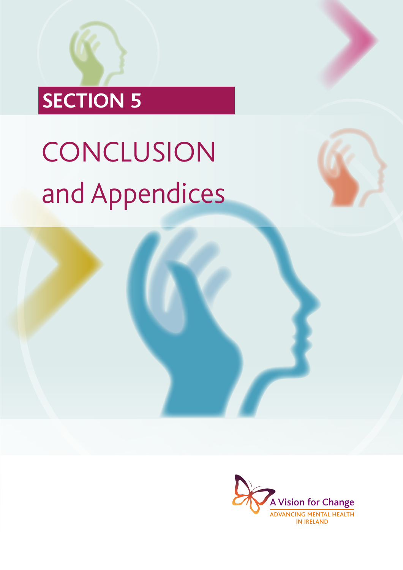# **SECTION 5**

# **CONCLUSION** and Appendices



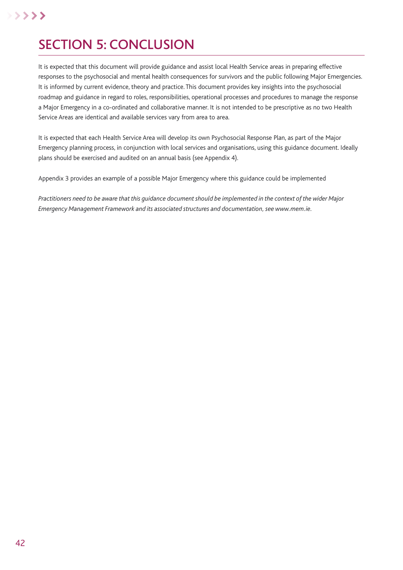# SECTION 5: CONCLUSION

It is expected that this document will provide guidance and assist local Health Service areas in preparing effective responses to the psychosocial and mental health consequences for survivors and the public following Major Emergencies. It is informed by current evidence, theory and practice. This document provides key insights into the psychosocial roadmap and guidance in regard to roles, responsibilities, operational processes and procedures to manage the response a Major Emergency in a co-ordinated and collaborative manner. It is not intended to be prescriptive as no two Health Service Areas are identical and available services vary from area to area.

It is expected that each Health Service Area will develop its own Psychosocial Response Plan, as part of the Major Emergency planning process, in conjunction with local services and organisations, using this guidance document. Ideally plans should be exercised and audited on an annual basis (see Appendix 4).

Appendix 3 provides an example of a possible Major Emergency where this guidance could be implemented

*Practitioners need to be aware that this guidance document should be implemented in the context of the wider Major Emergency Management Framework and its associated structures and documentation, see www.mem.ie.*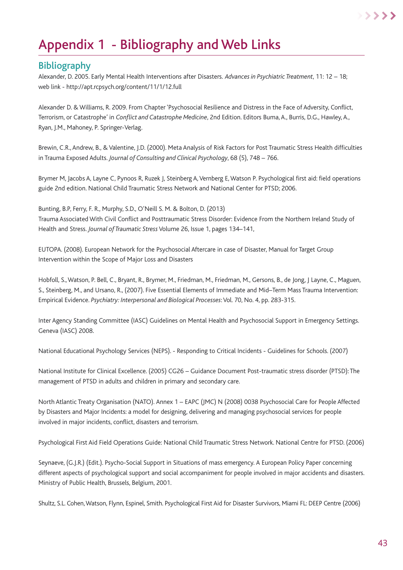# Appendix 1 - Bibliography and Web Links

#### **Bibliography**

Alexander, D. 2005. Early Mental Health Interventions after Disasters. *Advances in Psychiatric Treatment*, 11: 12 – 18; web link - http://apt.rcpsych.org/content/11/1/12.full

Alexander D. & Williams, R. 2009. From Chapter 'Psychosocial Resilience and Distress in the Face of Adversity, Conflict, Terrorism, or Catastrophe' in *Conflict and Catastrophe Medicine*, 2nd Edition. Editors Buma, A., Burris, D.G., Hawley, A., Ryan, J.M., Mahoney, P. Springer-Verlag.

Brewin, C.R., Andrew, B., & Valentine, J.D. (2000). Meta Analysis of Risk Factors for Post Traumatic Stress Health difficulties in Trauma Exposed Adults. *Journal of Consulting and Clinical Psychology*, 68 (5), 748 – 766.

Brymer M, Jacobs A, Layne C, Pynoos R, Ruzek J, Steinberg A, Vernberg E, Watson P. Psychological first aid: field operations guide 2nd edition. National Child Traumatic Stress Network and National Center for PTSD; 2006.

Bunting, B.P, Ferry, F. R., Murphy, S.D., O'Neill S. M. & Bolton, D. (2013)

Trauma Associated With Civil Conflict and Posttraumatic Stress Disorder: Evidence From the Northern Ireland Study of Health and Stress. *Journal of Traumatic Stress* Volume 26, Issue 1, pages 134–141,

EUTOPA. (2008). European Network for the Psychosocial Aftercare in case of Disaster, Manual for Target Group Intervention within the Scope of Major Loss and Disasters

Hobfoll, S., Watson, P. Bell, C., Bryant, R., Brymer, M., Friedman, M., Friedman, M., Gersons, B., de Jong, J Layne, C., Maguen, S., Steinberg, M., and Ursano, R., (2007). Five Essential Elements of Immediate and Mid–Term Mass Trauma Intervention: Empirical Evidence. *Psychiatry: Interpersonal and Biological Processes*: Vol. 70, No. 4, pp. 283-315.

Inter Agency Standing Committee (IASC) Guidelines on Mental Health and Psychosocial Support in Emergency Settings. Geneva (IASC) 2008.

National Educational Psychology Services (NEPS). - Responding to Critical Incidents - Guidelines for Schools. (2007)

National Institute for Clinical Excellence. (2005) CG26 – Guidance Document Post-traumatic stress disorder (PTSD): The management of PTSD in adults and children in primary and secondary care.

North Atlantic Treaty Organisation (NATO). Annex 1 – EAPC (JMC) N (2008) 0038 Psychosocial Care for People Affected by Disasters and Major Incidents: a model for designing, delivering and managing psychosocial services for people involved in major incidents, conflict, disasters and terrorism.

Psychological First Aid Field Operations Guide: National Child Traumatic Stress Network. National Centre for PTSD. (2006)

Seynaeve, (G.J.R.) (Edit.). Psycho-Social Support in Situations of mass emergency. A European Policy Paper concerning different aspects of psychological support and social accompaniment for people involved in major accidents and disasters. Ministry of Public Health, Brussels, Belgium, 2001.

Shultz, S.L. Cohen, Watson, Flynn, Espinel, Smith. Psychological First Aid for Disaster Survivors, Miami FL: DEEP Centre (2006)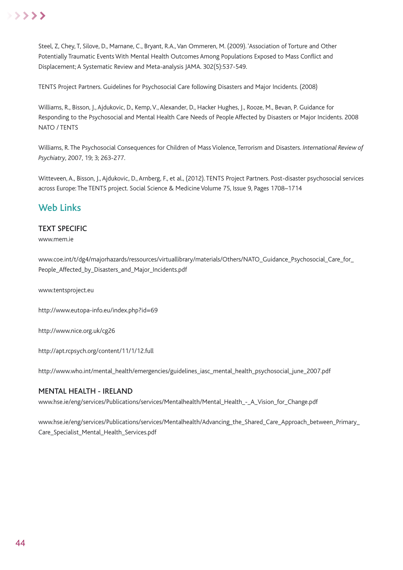

Steel, Z, Chey, T, Silove, D., Marnane, C., Bryant, R.A., Van Ommeren, M. (2009). 'Association of Torture and Other Potentially Traumatic Events With Mental Health Outcomes Among Populations Exposed to Mass Conflict and Displacement; A Systematic Review and Meta-analysis JAMA. 302(5):537-549.

TENTS Project Partners. Guidelines for Psychosocial Care following Disasters and Major Incidents. (2008)

Williams, R., Bisson, J., Ajdukovic, D., Kemp, V., Alexander, D., Hacker Hughes, J., Rooze, M., Bevan, P. Guidance for Responding to the Psychosocial and Mental Health Care Needs of People Affected by Disasters or Major Incidents. 2008 NATO / TENTS

Williams, R. The Psychosocial Consequences for Children of Mass Violence, Terrorism and Disasters. *International Review of Psychiatry*, 2007, 19; 3; 263-277.

Witteveen, A., Bisson, J., Ajdukovic, D., Arnberg, F., et al., (2012). TENTS Project Partners. Post-disaster psychosocial services across Europe: The TENTS project. Social Science & Medicine Volume 75, Issue 9, Pages 1708–1714

#### Web Links

#### Text Specific

www.mem.ie

www.coe.int/t/dg4/majorhazards/ressources/virtuallibrary/materials/Others/NATO\_Guidance\_Psychosocial\_Care\_for\_ People\_Affected\_by\_Disasters\_and\_Major\_Incidents.pdf

www.tentsproject.eu

http://www.eutopa-info.eu/index.php?id=69

http://www.nice.org.uk/cg26

http://apt.rcpsych.org/content/11/1/12.full

http://www.who.int/mental\_health/emergencies/guidelines\_iasc\_mental\_health\_psychosocial\_june\_2007.pdf

#### Mental Health - Ireland

www.hse.ie/eng/services/Publications/services/Mentalhealth/Mental\_Health\_-\_A\_Vision\_for\_Change.pdf

www.hse.ie/eng/services/Publications/services/Mentalhealth/Advancing\_the\_Shared\_Care\_Approach\_between\_Primary\_ Care\_Specialist\_Mental\_Health\_Services.pdf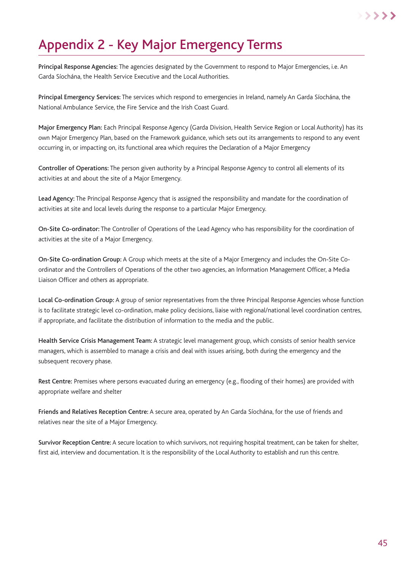# Appendix 2 - Key Major Emergency Terms

Principal Response Agencies: The agencies designated by the Government to respond to Major Emergencies, i.e. An Garda Síochána, the Health Service Executive and the Local Authorities.

Principal Emergency Services: The services which respond to emergencies in Ireland, namely An Garda Síochána, the National Ambulance Service, the Fire Service and the Irish Coast Guard.

Major Emergency Plan: Each Principal Response Agency (Garda Division, Health Service Region or Local Authority) has its own Major Emergency Plan, based on the Framework guidance, which sets out its arrangements to respond to any event occurring in, or impacting on, its functional area which requires the Declaration of a Major Emergency

Controller of Operations: The person given authority by a Principal Response Agency to control all elements of its activities at and about the site of a Major Emergency.

Lead Agency: The Principal Response Agency that is assigned the responsibility and mandate for the coordination of activities at site and local levels during the response to a particular Major Emergency.

On-Site Co-ordinator: The Controller of Operations of the Lead Agency who has responsibility for the coordination of activities at the site of a Major Emergency.

On-Site Co-ordination Group: A Group which meets at the site of a Major Emergency and includes the On-Site Coordinator and the Controllers of Operations of the other two agencies, an Information Management Officer, a Media Liaison Officer and others as appropriate.

Local Co-ordination Group: A group of senior representatives from the three Principal Response Agencies whose function is to facilitate strategic level co-ordination, make policy decisions, liaise with regional/national level coordination centres, if appropriate, and facilitate the distribution of information to the media and the public.

Health Service Crisis Management Team: A strategic level management group, which consists of senior health service managers, which is assembled to manage a crisis and deal with issues arising, both during the emergency and the subsequent recovery phase.

Rest Centre: Premises where persons evacuated during an emergency (e.g., flooding of their homes) are provided with appropriate welfare and shelter

Friends and Relatives Reception Centre: A secure area, operated by An Garda Síochána, for the use of friends and relatives near the site of a Major Emergency.

Survivor Reception Centre: A secure location to which survivors, not requiring hospital treatment, can be taken for shelter, first aid, interview and documentation. It is the responsibility of the Local Authority to establish and run this centre.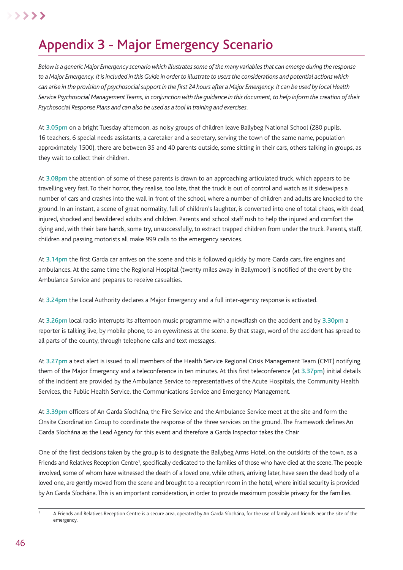### Appendix 3 - Major Emergency Scenario

*Below is a generic Major Emergency scenario which illustrates some of the many variables that can emerge during the response to a Major Emergency. It is included in this Guide in order to illustrate to users the considerations and potential actions which can arise in the provision of psychosocial support in the first 24 hours after a Major Emergency. It can be used by local Health Service Psychosocial Management Teams, in conjunction with the guidance in this document, to help inform the creation of their Psychosocial Response Plans and can also be used as a tool in training and exercises.*

At 3.05pm on a bright Tuesday afternoon, as noisy groups of children leave Ballybeg National School (280 pupils, 16 teachers, 6 special needs assistants, a caretaker and a secretary, serving the town of the same name, population approximately 1500), there are between 35 and 40 parents outside, some sitting in their cars, others talking in groups, as they wait to collect their children.

At 3.08pm the attention of some of these parents is drawn to an approaching articulated truck, which appears to be travelling very fast. To their horror, they realise, too late, that the truck is out of control and watch as it sideswipes a number of cars and crashes into the wall in front of the school, where a number of children and adults are knocked to the ground. In an instant, a scene of great normality, full of children's laughter, is converted into one of total chaos, with dead, injured, shocked and bewildered adults and children. Parents and school staff rush to help the injured and comfort the dying and, with their bare hands, some try, unsuccessfully, to extract trapped children from under the truck. Parents, staff, children and passing motorists all make 999 calls to the emergency services.

At 3.14pm the first Garda car arrives on the scene and this is followed quickly by more Garda cars, fire engines and ambulances. At the same time the Regional Hospital (twenty miles away in Ballymoor) is notified of the event by the Ambulance Service and prepares to receive casualties.

At 3.24pm the Local Authority declares a Major Emergency and a full inter-agency response is activated.

At 3.26pm local radio interrupts its afternoon music programme with a newsflash on the accident and by 3.30pm a reporter is talking live, by mobile phone, to an eyewitness at the scene. By that stage, word of the accident has spread to all parts of the county, through telephone calls and text messages.

At 3.27pm a text alert is issued to all members of the Health Service Regional Crisis Management Team (CMT) notifying them of the Major Emergency and a teleconference in ten minutes. At this first teleconference (at 3.37pm) initial details of the incident are provided by the Ambulance Service to representatives of the Acute Hospitals, the Community Health Services, the Public Health Service, the Communications Service and Emergency Management.

At 3.39pm officers of An Garda Síochána, the Fire Service and the Ambulance Service meet at the site and form the Onsite Coordination Group to coordinate the response of the three services on the ground. The Framework defines An Garda Síochána as the Lead Agency for this event and therefore a Garda Inspector takes the Chair

One of the first decisions taken by the group is to designate the Ballybeg Arms Hotel, on the outskirts of the town, as a Friends and Relatives Reception Centre<sup>1</sup>, specifically dedicated to the families of those who have died at the scene. The people involved, some of whom have witnessed the death of a loved one, while others, arriving later, have seen the dead body of a loved one, are gently moved from the scene and brought to a reception room in the hotel, where initial security is provided by An Garda Síochána. This is an important consideration, in order to provide maximum possible privacy for the families.

1

A Friends and Relatives Reception Centre is a secure area, operated by An Garda Síochána, for the use of family and friends near the site of the emergency.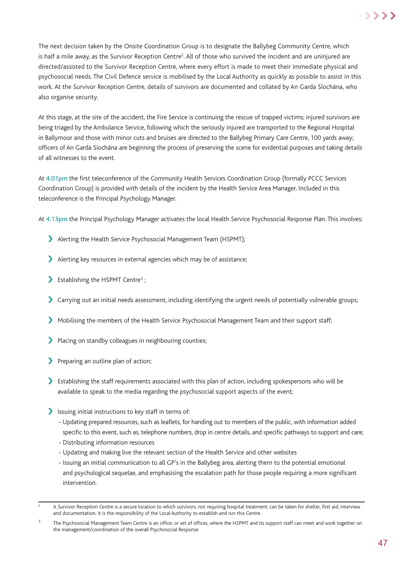The next decision taken by the Onsite Coordination Group is to designate the Ballybeg Community Centre, which is half a mile away, as the Survivor Reception Centre<sup>2</sup>. All of those who survived the incident and are uninjured are directed/assisted to the Survivor Reception Centre, where every effort is made to meet their immediate physical and psychosocial needs. The Civil Defence service is mobilised by the Local Authority as quickly as possible to assist in this work. At the Survivor Reception Centre, details of survivors are documented and collated by An Garda Síochána, who also organise security.

At this stage, at the site of the accident, the Fire Service is continuing the rescue of trapped victims; injured survivors are being triaged by the Ambulance Service, following which the seriously injured are transported to the Regional Hospital in Ballymoor and those with minor cuts and bruises are directed to the Ballybeg Primary Care Centre, 100 yards away; officers of An Garda Síochána are beginning the process of preserving the scene for evidential purposes and taking details of all witnesses to the event.

At 4.01pm the first teleconference of the Community Health Services Coordination Group (formally PCCC Services Coordination Group) is provided with details of the incident by the Health Service Area Manager. Included in this teleconference is the Principal Psychology Manager.

At 4.13pm the Principal Psychology Manager activates the local Health Service Psychosocial Response Plan. This involves:

- › Alerting the Health Service Psychosocial Management Team (HSPMT);
- › Alerting key resources in external agencies which may be of assistance;
- > Establishing the HSPMT Centre<sup>3</sup>;
- › Carrying out an initial needs assessment, including identifying the urgent needs of potentially vulnerable groups;
- › Mobilising the members of the Health Service Psychosocial Management Team and their support staff;
- › Placing on standby colleagues in neighbouring counties;
- › Preparing an outline plan of action;
- › Establishing the staff requirements associated with this plan of action, including spokespersons who will be available to speak to the media regarding the psychosocial support aspects of the event;
- > Issuing initial instructions to key staff in terms of:
	- Updating prepared resources, such as leaflets, for handing out to members of the public, with information added specific to this event, such as, telephone numbers, drop in centre details, and specific pathways to support and care;
	- Distributing information resources
	- Updating and making live the relevant section of the Health Service and other websites
	- Issuing an initial communication to all GP's in the Ballybeg area, alerting them to the potential emotional and psychological sequelae, and emphasising the escalation path for those people requiring a more significant intervention.

 $>>>>$ 

<sup>2</sup> A Survivor Reception Centre is a secure location to which survivors, not requiring hospital treatment, can be taken for shelter, first aid, interview and documentation. It is the responsibility of the Local Authority to establish and run this Centre.

<sup>3</sup> The Psychosocial Management Team Centre is an office, or set of offices, where the HSPMT and its support staff can meet and work together on the management/coordination of the overall Psychosocial Response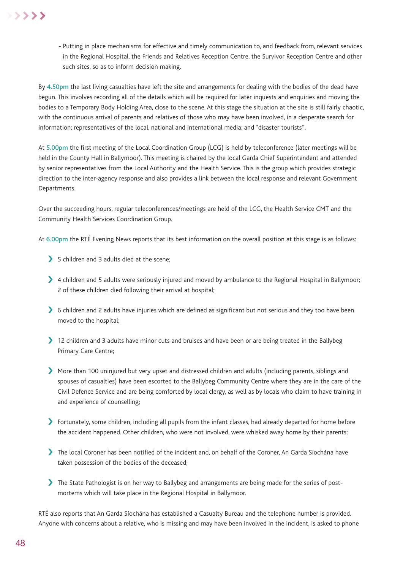

- Putting in place mechanisms for effective and timely communication to, and feedback from, relevant services in the Regional Hospital, the Friends and Relatives Reception Centre, the Survivor Reception Centre and other such sites, so as to inform decision making.

By 4.50pm the last living casualties have left the site and arrangements for dealing with the bodies of the dead have begun. This involves recording all of the details which will be required for later inquests and enquiries and moving the bodies to a Temporary Body Holding Area, close to the scene. At this stage the situation at the site is still fairly chaotic, with the continuous arrival of parents and relatives of those who may have been involved, in a desperate search for information; representatives of the local, national and international media; and "disaster tourists".

At 5.00pm the first meeting of the Local Coordination Group (LCG) is held by teleconference (later meetings will be held in the County Hall in Ballymoor). This meeting is chaired by the local Garda Chief Superintendent and attended by senior representatives from the Local Authority and the Health Service. This is the group which provides strategic direction to the inter-agency response and also provides a link between the local response and relevant Government Departments.

Over the succeeding hours, regular teleconferences/meetings are held of the LCG, the Health Service CMT and the Community Health Services Coordination Group.

At 6.00pm the RTÉ Evening News reports that its best information on the overall position at this stage is as follows:

- > 5 children and 3 adults died at the scene:
- › 4 children and 5 adults were seriously injured and moved by ambulance to the Regional Hospital in Ballymoor; 2 of these children died following their arrival at hospital;
- › 6 children and 2 adults have injuries which are defined as significant but not serious and they too have been moved to the hospital;
- > 12 children and 3 adults have minor cuts and bruises and have been or are being treated in the Ballybeg Primary Care Centre;
- › More than 100 uninjured but very upset and distressed children and adults (including parents, siblings and spouses of casualties) have been escorted to the Ballybeg Community Centre where they are in the care of the Civil Defence Service and are being comforted by local clergy, as well as by locals who claim to have training in and experience of counselling;
- › Fortunately, some children, including all pupils from the infant classes, had already departed for home before the accident happened. Other children, who were not involved, were whisked away home by their parents;
- › The local Coroner has been notified of the incident and, on behalf of the Coroner, An Garda Síochána have taken possession of the bodies of the deceased;
- In State Pathologist is on her way to Ballybeg and arrangements are being made for the series of postmortems which will take place in the Regional Hospital in Ballymoor.

RTÉ also reports that An Garda Síochána has established a Casualty Bureau and the telephone number is provided. Anyone with concerns about a relative, who is missing and may have been involved in the incident, is asked to phone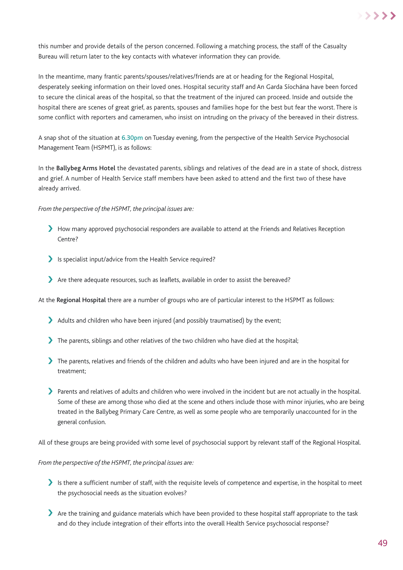$>>>>>$ 

this number and provide details of the person concerned. Following a matching process, the staff of the Casualty Bureau will return later to the key contacts with whatever information they can provide.

In the meantime, many frantic parents/spouses/relatives/friends are at or heading for the Regional Hospital, desperately seeking information on their loved ones. Hospital security staff and An Garda Síochána have been forced to secure the clinical areas of the hospital, so that the treatment of the injured can proceed. Inside and outside the hospital there are scenes of great grief, as parents, spouses and families hope for the best but fear the worst. There is some conflict with reporters and cameramen, who insist on intruding on the privacy of the bereaved in their distress.

A snap shot of the situation at 6.30pm on Tuesday evening, from the perspective of the Health Service Psychosocial Management Team (HSPMT), is as follows:

In the Ballybeg Arms Hotel the devastated parents, siblings and relatives of the dead are in a state of shock, distress and grief. A number of Health Service staff members have been asked to attend and the first two of these have already arrived.

#### *From the perspective of the HSPMT, the principal issues are:*

- › How many approved psychosocial responders are available to attend at the Friends and Relatives Reception Centre?
- › Is specialist input/advice from the Health Service required?
- › Are there adequate resources, such as leaflets, available in order to assist the bereaved?

At the Regional Hospital there are a number of groups who are of particular interest to the HSPMT as follows:

- › Adults and children who have been injured (and possibly traumatised) by the event;
- › The parents, siblings and other relatives of the two children who have died at the hospital;
- › The parents, relatives and friends of the children and adults who have been injured and are in the hospital for treatment;
- › Parents and relatives of adults and children who were involved in the incident but are not actually in the hospital. Some of these are among those who died at the scene and others include those with minor injuries, who are being treated in the Ballybeg Primary Care Centre, as well as some people who are temporarily unaccounted for in the general confusion.

All of these groups are being provided with some level of psychosocial support by relevant staff of the Regional Hospital.

*From the perspective of the HSPMT, the principal issues are:*

- Is there a sufficient number of staff, with the requisite levels of competence and expertise, in the hospital to meet the psychosocial needs as the situation evolves?
- › Are the training and guidance materials which have been provided to these hospital staff appropriate to the task and do they include integration of their efforts into the overall Health Service psychosocial response?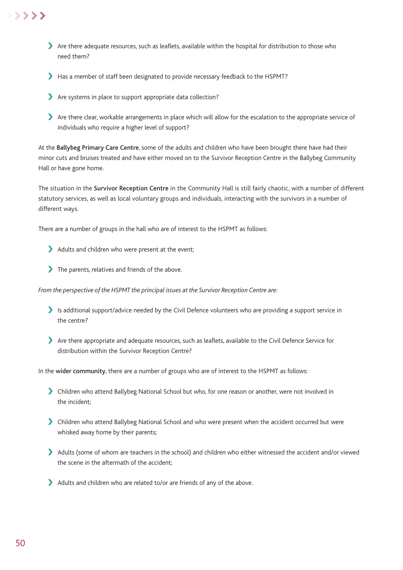- › Are there adequate resources, such as leaflets, available within the hospital for distribution to those who need them?
- › Has a member of staff been designated to provide necessary feedback to the HSPMT?
- › Are systems in place to support appropriate data collection?
- › Are there clear, workable arrangements in place which will allow for the escalation to the appropriate service of individuals who require a higher level of support?

At the Ballybeg Primary Care Centre, some of the adults and children who have been brought there have had their minor cuts and bruises treated and have either moved on to the Survivor Reception Centre in the Ballybeg Community Hall or have gone home.

The situation in the Survivor Reception Centre in the Community Hall is still fairly chaotic, with a number of different statutory services, as well as local voluntary groups and individuals, interacting with the survivors in a number of different ways.

There are a number of groups in the hall who are of interest to the HSPMT as follows:

- > Adults and children who were present at the event;
- In The parents, relatives and friends of the above.

*From the perspective of the HSPMT the principal issues at the Survivor Reception Centre are:*

- > Is additional support/advice needed by the Civil Defence volunteers who are providing a support service in the centre?
- › Are there appropriate and adequate resources, such as leaflets, available to the Civil Defence Service for distribution within the Survivor Reception Centre?

In the wider community, there are a number of groups who are of interest to the HSPMT as follows:

- › Children who attend Ballybeg National School but who, for one reason or another, were not involved in the incident;
- › Children who attend Ballybeg National School and who were present when the accident occurred but were whisked away home by their parents;
- › Adults (some of whom are teachers in the school) and children who either witnessed the accident and/or viewed the scene in the aftermath of the accident;
- › Adults and children who are related to/or are friends of any of the above.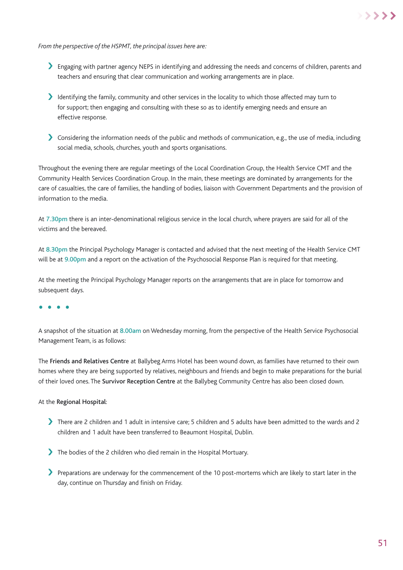*From the perspective of the HSPMT, the principal issues here are:*

- › Engaging with partner agency NEPS in identifying and addressing the needs and concerns of children, parents and teachers and ensuring that clear communication and working arrangements are in place.
- Identifying the family, community and other services in the locality to which those affected may turn to for support; then engaging and consulting with these so as to identify emerging needs and ensure an effective response.
- › Considering the information needs of the public and methods of communication, e.g., the use of media, including social media, schools, churches, youth and sports organisations.

Throughout the evening there are regular meetings of the Local Coordination Group, the Health Service CMT and the Community Health Services Coordination Group. In the main, these meetings are dominated by arrangements for the care of casualties, the care of families, the handling of bodies, liaison with Government Departments and the provision of information to the media.

At 7.30pm there is an inter-denominational religious service in the local church, where prayers are said for all of the victims and the bereaved.

At 8.30pm the Principal Psychology Manager is contacted and advised that the next meeting of the Health Service CMT will be at 9.00pm and a report on the activation of the Psychosocial Response Plan is required for that meeting.

At the meeting the Principal Psychology Manager reports on the arrangements that are in place for tomorrow and subsequent days.

#### • • • •

A snapshot of the situation at 8.00am on Wednesday morning, from the perspective of the Health Service Psychosocial Management Team, is as follows:

The Friends and Relatives Centre at Ballybeg Arms Hotel has been wound down, as families have returned to their own homes where they are being supported by relatives, neighbours and friends and begin to make preparations for the burial of their loved ones. The Survivor Reception Centre at the Ballybeg Community Centre has also been closed down.

#### At the Regional Hospital:

- › There are 2 children and 1 adult in intensive care; 5 children and 5 adults have been admitted to the wards and 2 children and 1 adult have been transferred to Beaumont Hospital, Dublin.
- › The bodies of the 2 children who died remain in the Hospital Mortuary.
- › Preparations are underway for the commencement of the 10 post-mortems which are likely to start later in the day, continue on Thursday and finish on Friday.

>>>>>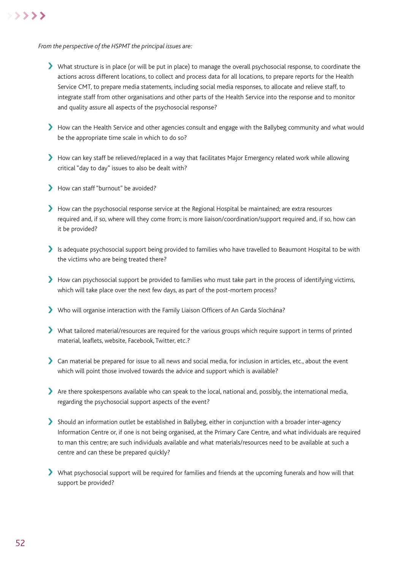*From the perspective of the HSPMT the principal issues are:*

 $>>> > >$ 

- › What structure is in place (or will be put in place) to manage the overall psychosocial response, to coordinate the actions across different locations, to collect and process data for all locations, to prepare reports for the Health Service CMT, to prepare media statements, including social media responses, to allocate and relieve staff, to integrate staff from other organisations and other parts of the Health Service into the response and to monitor and quality assure all aspects of the psychosocial response?
- › How can the Health Service and other agencies consult and engage with the Ballybeg community and what would be the appropriate time scale in which to do so?
- › How can key staff be relieved/replaced in a way that facilitates Major Emergency related work while allowing critical "day to day" issues to also be dealt with?
- › How can staff "burnout" be avoided?
- › How can the psychosocial response service at the Regional Hospital be maintained; are extra resources required and, if so, where will they come from; is more liaison/coordination/support required and, if so, how can it be provided?
- Is adequate psychosocial support being provided to families who have travelled to Beaumont Hospital to be with the victims who are being treated there?
- › How can psychosocial support be provided to families who must take part in the process of identifying victims, which will take place over the next few days, as part of the post-mortem process?
- › Who will organise interaction with the Family Liaison Officers of An Garda Síochána?
- › What tailored material/resources are required for the various groups which require support in terms of printed material, leaflets, website, Facebook, Twitter, etc.?
- › Can material be prepared for issue to all news and social media, for inclusion in articles, etc., about the event which will point those involved towards the advice and support which is available?
- $\blacktriangleright$  Are there spokespersons available who can speak to the local, national and, possibly, the international media, regarding the psychosocial support aspects of the event?
- › Should an information outlet be established in Ballybeg, either in conjunction with a broader inter-agency Information Centre or, if one is not being organised, at the Primary Care Centre, and what individuals are required to man this centre; are such individuals available and what materials/resources need to be available at such a centre and can these be prepared quickly?
- › What psychosocial support will be required for families and friends at the upcoming funerals and how will that support be provided?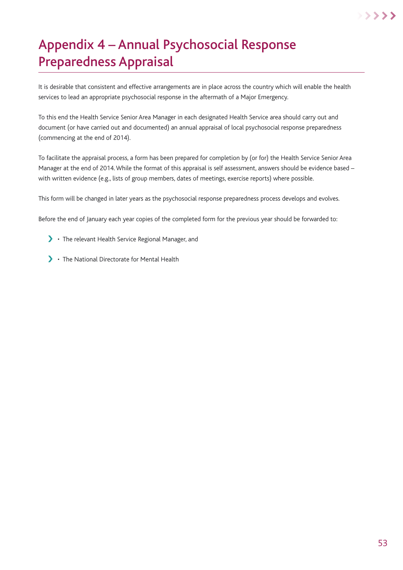## Appendix 4 – Annual Psychosocial Response Preparedness Appraisal

It is desirable that consistent and effective arrangements are in place across the country which will enable the health services to lead an appropriate psychosocial response in the aftermath of a Major Emergency.

To this end the Health Service Senior Area Manager in each designated Health Service area should carry out and document (or have carried out and documented) an annual appraisal of local psychosocial response preparedness (commencing at the end of 2014).

To facilitate the appraisal process, a form has been prepared for completion by (or for) the Health Service Senior Area Manager at the end of 2014. While the format of this appraisal is self assessment, answers should be evidence based – with written evidence (e.g., lists of group members, dates of meetings, exercise reports) where possible.

This form will be changed in later years as the psychosocial response preparedness process develops and evolves.

Before the end of January each year copies of the completed form for the previous year should be forwarded to:

- $\rightarrow$  The relevant Health Service Regional Manager, and
- $\rightarrow$  The National Directorate for Mental Health

>>>>>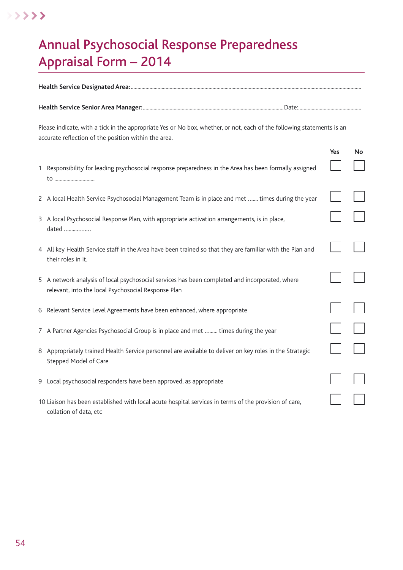# Annual Psychosocial Response Preparedness Appraisal Form – 2014

| Please indicate, with a tick in the appropriate Yes or No box, whether, or not, each of the following statements is an<br>accurate reflection of the position within the area. |     |           |  |  |  |
|--------------------------------------------------------------------------------------------------------------------------------------------------------------------------------|-----|-----------|--|--|--|
|                                                                                                                                                                                | Yes | <b>No</b> |  |  |  |
| 1 Responsibility for leading psychosocial response preparedness in the Area has been formally assigned<br>to                                                                   |     |           |  |  |  |
| 2 A local Health Service Psychosocial Management Team is in place and met  times during the year                                                                               |     |           |  |  |  |
| 3 A local Psychosocial Response Plan, with appropriate activation arrangements, is in place,<br>dated                                                                          |     |           |  |  |  |
| 4 All key Health Service staff in the Area have been trained so that they are familiar with the Plan and<br>their roles in it.                                                 |     |           |  |  |  |
| 5 A network analysis of local psychosocial services has been completed and incorporated, where<br>relevant, into the local Psychosocial Response Plan                          |     |           |  |  |  |
| 6 Relevant Service Level Agreements have been enhanced, where appropriate                                                                                                      |     |           |  |  |  |
| 7 A Partner Agencies Psychosocial Group is in place and met  times during the year                                                                                             |     |           |  |  |  |
| 8 Appropriately trained Health Service personnel are available to deliver on key roles in the Strategic<br>Stepped Model of Care                                               |     |           |  |  |  |
| 9 Local psychosocial responders have been approved, as appropriate                                                                                                             |     |           |  |  |  |
| 10 Liaison has been established with local acute hospital services in terms of the provision of care,<br>collation of data, etc                                                |     |           |  |  |  |

 $>>> >>$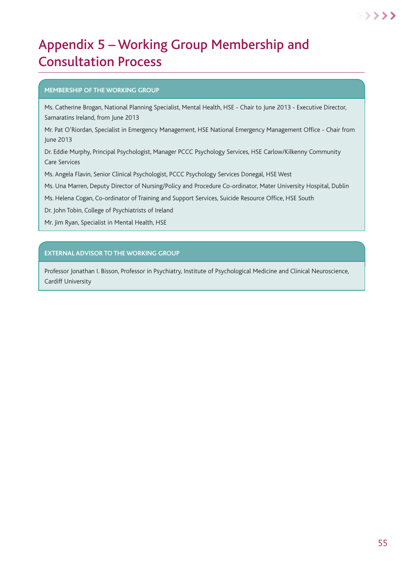## Appendix 5 – Working Group Membership and Consultation Process

#### **Membership of the Working Group**

Ms. Catherine Brogan, National Planning Specialist, Mental Health, HSE - Chair to June 2013 - Executive Director, Samaratins Ireland, from June 2013

Mr. Pat O'Riordan, Specialist in Emergency Management, HSE National Emergency Management Office - Chair from June 2013

Dr. Eddie Murphy, Principal Psychologist, Manager PCCC Psychology Services, HSE Carlow/Kilkenny Community Care Services

Ms. Angela Flavin, Senior Clinical Psychologist, PCCC Psychology Services Donegal, HSE West

Ms. Una Marren, Deputy Director of Nursing/Policy and Procedure Co-ordinator, Mater University Hospital, Dublin

Ms. Helena Cogan, Co-ordinator of Training and Support Services, Suicide Resource Office, HSE South

Dr. John Tobin, College of Psychiatrists of Ireland

Mr. Jim Ryan, Specialist in Mental Health, HSE

#### **External Advisor to the Working Group**

Professor Jonathan I. Bisson, Professor in Psychiatry, Institute of Psychological Medicine and Clinical Neuroscience, Cardiff University

>>>>>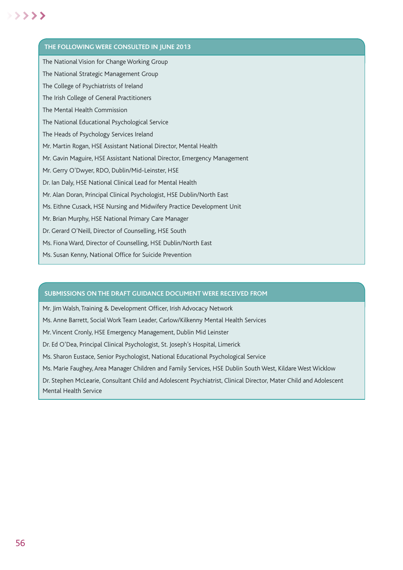#### **The following were Consulted in June 2013**

The National Vision for Change Working Group The National Strategic Management Group The College of Psychiatrists of Ireland The Irish College of General Practitioners The Mental Health Commission The National Educational Psychological Service The Heads of Psychology Services Ireland Mr. Martin Rogan, HSE Assistant National Director, Mental Health Mr. Gavin Maguire, HSE Assistant National Director, Emergency Management Mr. Gerry O'Dwyer, RDO, Dublin/Mid-Leinster, HSE Dr. Ian Daly, HSE National Clinical Lead for Mental Health Mr. Alan Doran, Principal Clinical Psychologist, HSE Dublin/North East Ms. Eithne Cusack, HSE Nursing and Midwifery Practice Development Unit Mr. Brian Murphy, HSE National Primary Care Manager Dr. Gerard O'Neill, Director of Counselling, HSE South Ms. Fiona Ward, Director of Counselling, HSE Dublin/North East Ms. Susan Kenny, National Office for Suicide Prevention

#### **Submissions on the Draft Guidance Document were Received from**

Mr. Jim Walsh, Training & Development Officer, Irish Advocacy Network

Ms. Anne Barrett, Social Work Team Leader, Carlow/Kilkenny Mental Health Services

Mr. Vincent Cronly, HSE Emergency Management, Dublin Mid Leinster

Dr. Ed O'Dea, Principal Clinical Psychologist, St. Joseph's Hospital, Limerick

Ms. Sharon Eustace, Senior Psychologist, National Educational Psychological Service

Ms. Marie Faughey, Area Manager Children and Family Services, HSE Dublin South West, Kildare West Wicklow

Dr. Stephen McLearie, Consultant Child and Adolescent Psychiatrist, Clinical Director, Mater Child and Adolescent Mental Health Service